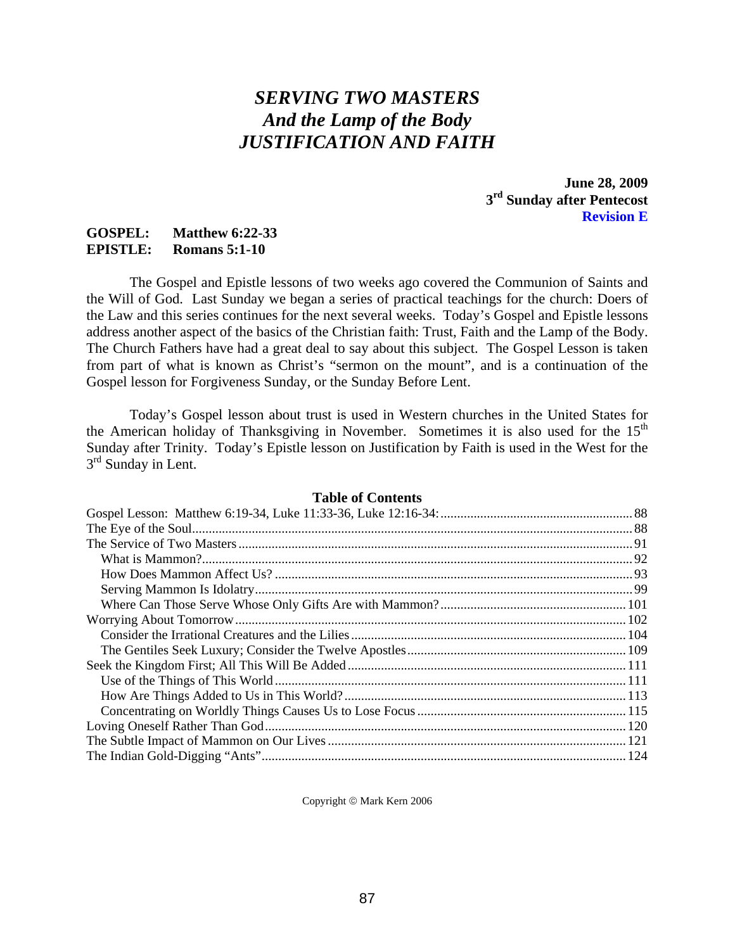# *SERVING TWO MASTERS And the Lamp of the Body JUSTIFICATION AND FAITH*

**June 28, 2009 3rd Sunday after Pentecost Revision E** 

## **GOSPEL: Matthew 6:22-33 EPISTLE: Romans 5:1-10**

The Gospel and Epistle lessons of two weeks ago covered the Communion of Saints and the Will of God. Last Sunday we began a series of practical teachings for the church: Doers of the Law and this series continues for the next several weeks. Today's Gospel and Epistle lessons address another aspect of the basics of the Christian faith: Trust, Faith and the Lamp of the Body. The Church Fathers have had a great deal to say about this subject. The Gospel Lesson is taken from part of what is known as Christ's "sermon on the mount", and is a continuation of the Gospel lesson for Forgiveness Sunday, or the Sunday Before Lent.

Today's Gospel lesson about trust is used in Western churches in the United States for the American holiday of Thanksgiving in November. Sometimes it is also used for the 15<sup>th</sup> Sunday after Trinity. Today's Epistle lesson on Justification by Faith is used in the West for the  $3<sup>rd</sup>$  Sunday in Lent.

## **Table of Contents**

Copyright © Mark Kern 2006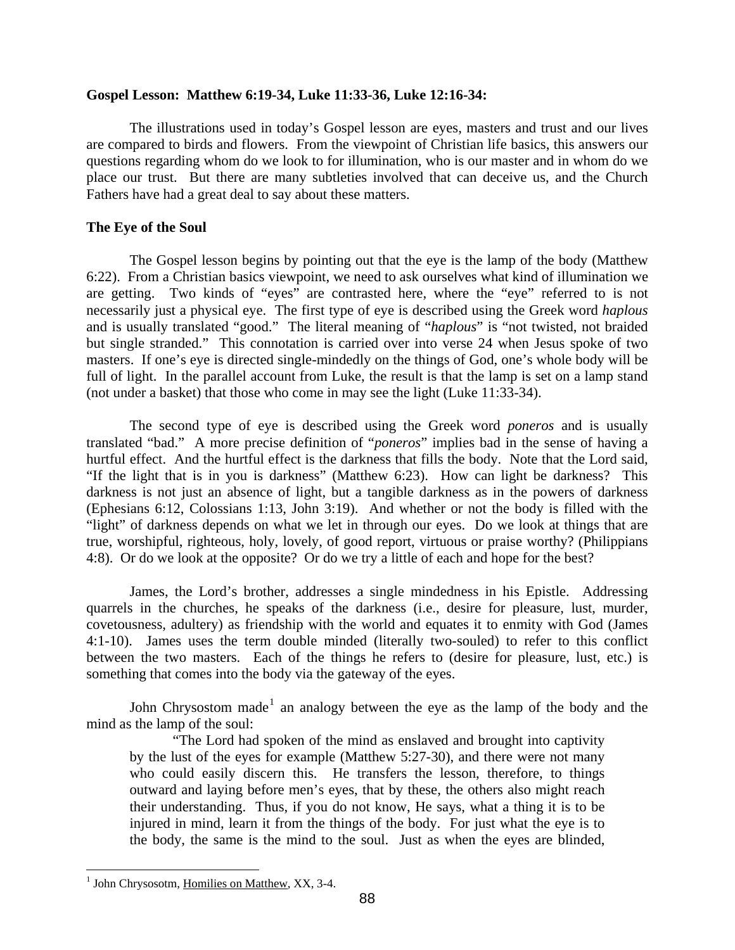### <span id="page-1-0"></span>**Gospel Lesson: Matthew 6:19-34, Luke 11:33-36, Luke 12:16-34:**

The illustrations used in today's Gospel lesson are eyes, masters and trust and our lives are compared to birds and flowers. From the viewpoint of Christian life basics, this answers our questions regarding whom do we look to for illumination, who is our master and in whom do we place our trust. But there are many subtleties involved that can deceive us, and the Church Fathers have had a great deal to say about these matters.

## **The Eye of the Soul**

The Gospel lesson begins by pointing out that the eye is the lamp of the body (Matthew 6:22). From a Christian basics viewpoint, we need to ask ourselves what kind of illumination we are getting. Two kinds of "eyes" are contrasted here, where the "eye" referred to is not necessarily just a physical eye. The first type of eye is described using the Greek word *haplous* and is usually translated "good." The literal meaning of "*haplous*" is "not twisted, not braided but single stranded." This connotation is carried over into verse 24 when Jesus spoke of two masters. If one's eye is directed single-mindedly on the things of God, one's whole body will be full of light. In the parallel account from Luke, the result is that the lamp is set on a lamp stand (not under a basket) that those who come in may see the light (Luke 11:33-34).

The second type of eye is described using the Greek word *poneros* and is usually translated "bad." A more precise definition of "*poneros*" implies bad in the sense of having a hurtful effect. And the hurtful effect is the darkness that fills the body. Note that the Lord said, "If the light that is in you is darkness" (Matthew 6:23). How can light be darkness? This darkness is not just an absence of light, but a tangible darkness as in the powers of darkness (Ephesians 6:12, Colossians 1:13, John 3:19). And whether or not the body is filled with the "light" of darkness depends on what we let in through our eyes. Do we look at things that are true, worshipful, righteous, holy, lovely, of good report, virtuous or praise worthy? (Philippians 4:8). Or do we look at the opposite? Or do we try a little of each and hope for the best?

James, the Lord's brother, addresses a single mindedness in his Epistle. Addressing quarrels in the churches, he speaks of the darkness (i.e., desire for pleasure, lust, murder, covetousness, adultery) as friendship with the world and equates it to enmity with God (James 4:1-10). James uses the term double minded (literally two-souled) to refer to this conflict between the two masters. Each of the things he refers to (desire for pleasure, lust, etc.) is something that comes into the body via the gateway of the eyes.

John Chrysostom made<sup>[1](#page-1-1)</sup> an analogy between the eye as the lamp of the body and the mind as the lamp of the soul:

"The Lord had spoken of the mind as enslaved and brought into captivity by the lust of the eyes for example (Matthew 5:27-30), and there were not many who could easily discern this. He transfers the lesson, therefore, to things outward and laying before men's eyes, that by these, the others also might reach their understanding. Thus, if you do not know, He says, what a thing it is to be injured in mind, learn it from the things of the body. For just what the eye is to the body, the same is the mind to the soul. Just as when the eyes are blinded,

<span id="page-1-1"></span><sup>&</sup>lt;sup>1</sup> John Chrysosotm, Homilies on Matthew, XX, 3-4.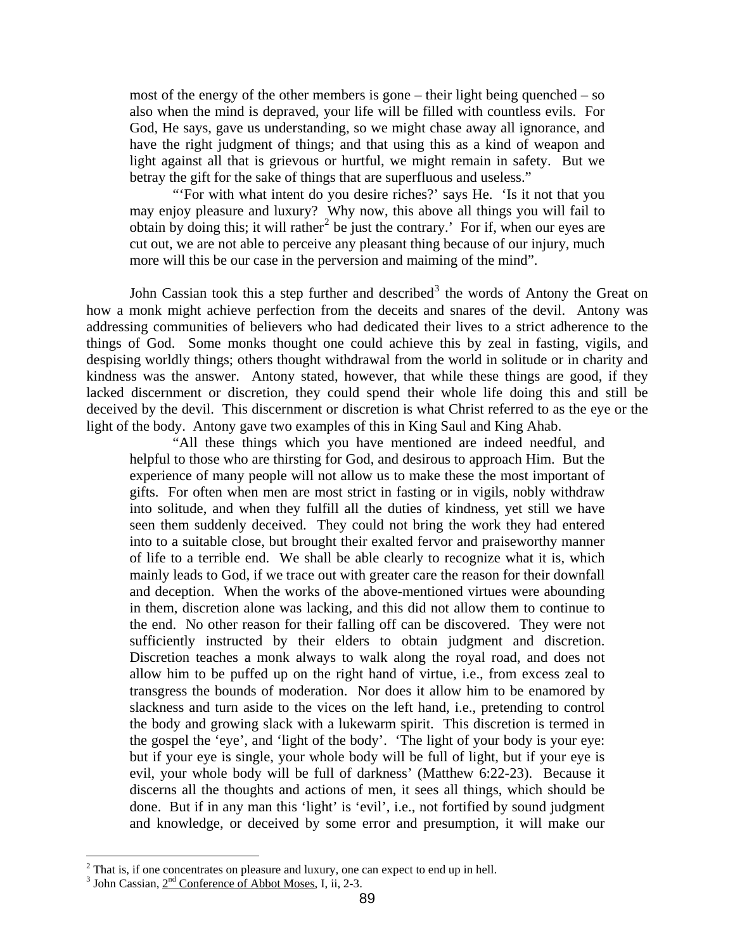most of the energy of the other members is gone – their light being quenched – so also when the mind is depraved, your life will be filled with countless evils. For God, He says, gave us understanding, so we might chase away all ignorance, and have the right judgment of things; and that using this as a kind of weapon and light against all that is grievous or hurtful, we might remain in safety. But we betray the gift for the sake of things that are superfluous and useless."

"'For with what intent do you desire riches?' says He. 'Is it not that you may enjoy pleasure and luxury? Why now, this above all things you will fail to obtain by doing this; it will rather<sup>[2](#page-2-0)</sup> be just the contrary.' For if, when our eyes are cut out, we are not able to perceive any pleasant thing because of our injury, much more will this be our case in the perversion and maiming of the mind".

John Cassian took this a step further and described<sup>[3](#page-2-1)</sup> the words of Antony the Great on how a monk might achieve perfection from the deceits and snares of the devil. Antony was addressing communities of believers who had dedicated their lives to a strict adherence to the things of God. Some monks thought one could achieve this by zeal in fasting, vigils, and despising worldly things; others thought withdrawal from the world in solitude or in charity and kindness was the answer. Antony stated, however, that while these things are good, if they lacked discernment or discretion, they could spend their whole life doing this and still be deceived by the devil. This discernment or discretion is what Christ referred to as the eye or the light of the body. Antony gave two examples of this in King Saul and King Ahab.

"All these things which you have mentioned are indeed needful, and helpful to those who are thirsting for God, and desirous to approach Him. But the experience of many people will not allow us to make these the most important of gifts. For often when men are most strict in fasting or in vigils, nobly withdraw into solitude, and when they fulfill all the duties of kindness, yet still we have seen them suddenly deceived. They could not bring the work they had entered into to a suitable close, but brought their exalted fervor and praiseworthy manner of life to a terrible end. We shall be able clearly to recognize what it is, which mainly leads to God, if we trace out with greater care the reason for their downfall and deception. When the works of the above-mentioned virtues were abounding in them, discretion alone was lacking, and this did not allow them to continue to the end. No other reason for their falling off can be discovered. They were not sufficiently instructed by their elders to obtain judgment and discretion. Discretion teaches a monk always to walk along the royal road, and does not allow him to be puffed up on the right hand of virtue, i.e., from excess zeal to transgress the bounds of moderation. Nor does it allow him to be enamored by slackness and turn aside to the vices on the left hand, i.e., pretending to control the body and growing slack with a lukewarm spirit. This discretion is termed in the gospel the 'eye', and 'light of the body'. 'The light of your body is your eye: but if your eye is single, your whole body will be full of light, but if your eye is evil, your whole body will be full of darkness' (Matthew 6:22-23). Because it discerns all the thoughts and actions of men, it sees all things, which should be done. But if in any man this 'light' is 'evil', i.e., not fortified by sound judgment and knowledge, or deceived by some error and presumption, it will make our

<span id="page-2-0"></span><sup>&</sup>lt;sup>2</sup> That is, if one concentrates on pleasure and luxury, one can expect to end up in hell.<br><sup>3</sup> John Cossian,  $2^{nd}$  Conference of Abbet Mosse, L ii. 2.2.

<span id="page-2-1"></span> $3$  John Cassian,  $2<sup>nd</sup>$  Conference of Abbot Moses, I, ii, 2-3.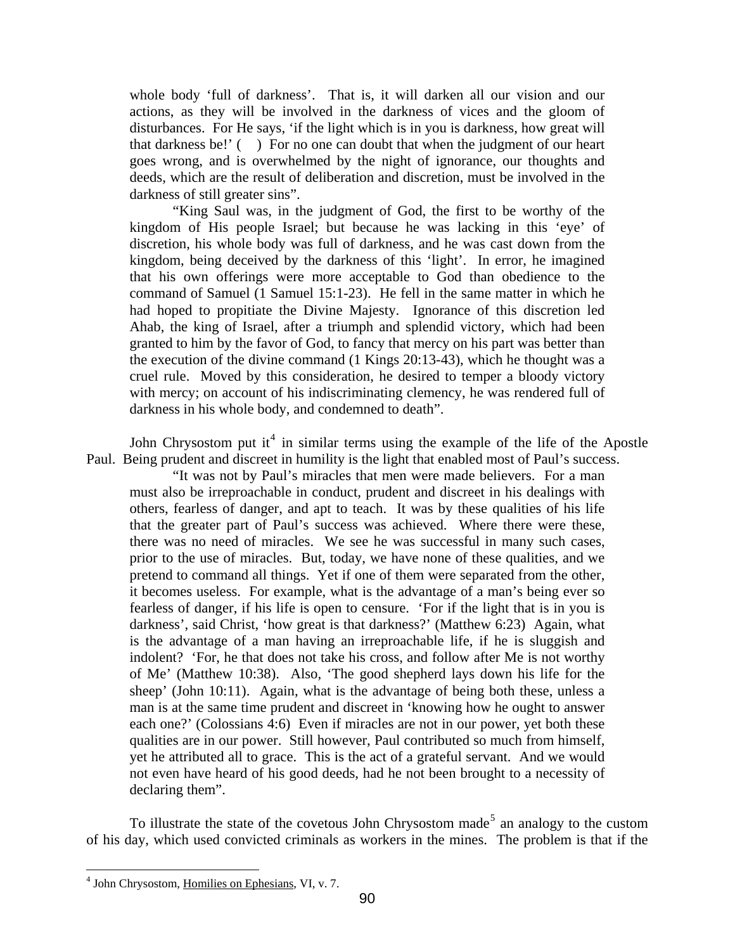whole body 'full of darkness'. That is, it will darken all our vision and our actions, as they will be involved in the darkness of vices and the gloom of disturbances. For He says, 'if the light which is in you is darkness, how great will that darkness be!' ( ) For no one can doubt that when the judgment of our heart goes wrong, and is overwhelmed by the night of ignorance, our thoughts and deeds, which are the result of deliberation and discretion, must be involved in the darkness of still greater sins".

"King Saul was, in the judgment of God, the first to be worthy of the kingdom of His people Israel; but because he was lacking in this 'eye' of discretion, his whole body was full of darkness, and he was cast down from the kingdom, being deceived by the darkness of this 'light'. In error, he imagined that his own offerings were more acceptable to God than obedience to the command of Samuel (1 Samuel 15:1-23). He fell in the same matter in which he had hoped to propitiate the Divine Majesty. Ignorance of this discretion led Ahab, the king of Israel, after a triumph and splendid victory, which had been granted to him by the favor of God, to fancy that mercy on his part was better than the execution of the divine command (1 Kings 20:13-43), which he thought was a cruel rule. Moved by this consideration, he desired to temper a bloody victory with mercy; on account of his indiscriminating clemency, he was rendered full of darkness in his whole body, and condemned to death".

John Chrysostom put it<sup>[4](#page-3-0)</sup> in similar terms using the example of the life of the Apostle Paul. Being prudent and discreet in humility is the light that enabled most of Paul's success.

"It was not by Paul's miracles that men were made believers. For a man must also be irreproachable in conduct, prudent and discreet in his dealings with others, fearless of danger, and apt to teach. It was by these qualities of his life that the greater part of Paul's success was achieved. Where there were these, there was no need of miracles. We see he was successful in many such cases, prior to the use of miracles. But, today, we have none of these qualities, and we pretend to command all things. Yet if one of them were separated from the other, it becomes useless. For example, what is the advantage of a man's being ever so fearless of danger, if his life is open to censure. 'For if the light that is in you is darkness', said Christ, 'how great is that darkness?' (Matthew 6:23) Again, what is the advantage of a man having an irreproachable life, if he is sluggish and indolent? 'For, he that does not take his cross, and follow after Me is not worthy of Me' (Matthew 10:38). Also, 'The good shepherd lays down his life for the sheep' (John 10:11). Again, what is the advantage of being both these, unless a man is at the same time prudent and discreet in 'knowing how he ought to answer each one?' (Colossians 4:6) Even if miracles are not in our power, yet both these qualities are in our power. Still however, Paul contributed so much from himself, yet he attributed all to grace. This is the act of a grateful servant. And we would not even have heard of his good deeds, had he not been brought to a necessity of declaring them".

To illustrate the state of the covetous John Chrysostom made<sup>[5](#page-3-0)</sup> an analogy to the custom of his day, which used convicted criminals as workers in the mines. The problem is that if the

<span id="page-3-0"></span><sup>&</sup>lt;sup>4</sup> John Chrysostom, Homilies on Ephesians, VI, v. 7.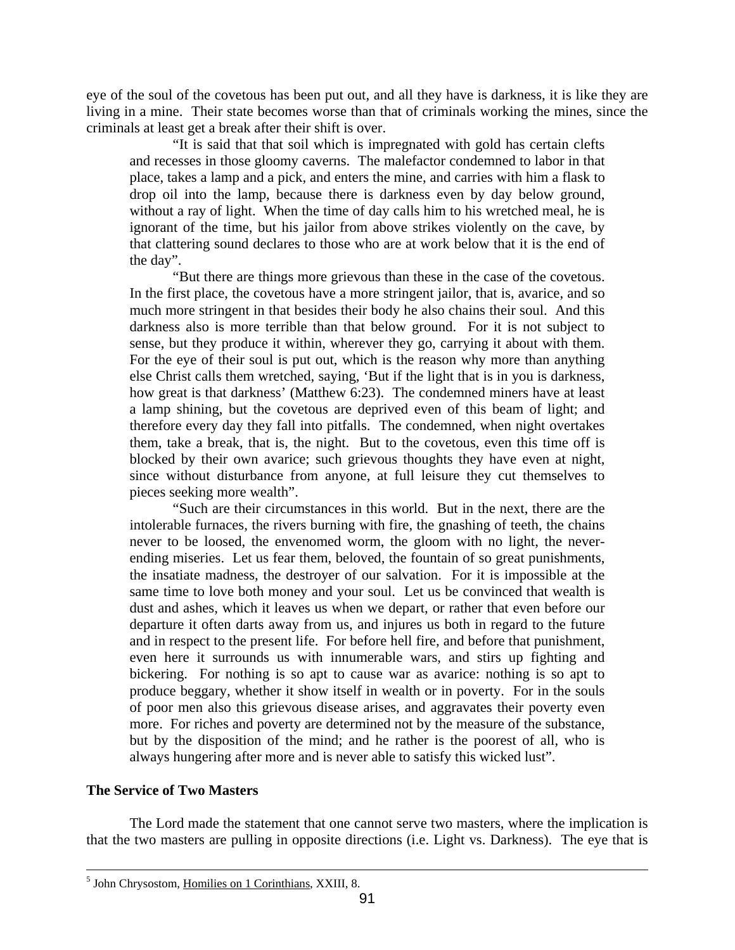<span id="page-4-0"></span>eye of the soul of the covetous has been put out, and all they have is darkness, it is like they are living in a mine. Their state becomes worse than that of criminals working the mines, since the criminals at least get a break after their shift is over.

"It is said that that soil which is impregnated with gold has certain clefts and recesses in those gloomy caverns. The malefactor condemned to labor in that place, takes a lamp and a pick, and enters the mine, and carries with him a flask to drop oil into the lamp, because there is darkness even by day below ground, without a ray of light. When the time of day calls him to his wretched meal, he is ignorant of the time, but his jailor from above strikes violently on the cave, by that clattering sound declares to those who are at work below that it is the end of the day".

"But there are things more grievous than these in the case of the covetous. In the first place, the covetous have a more stringent jailor, that is, avarice, and so much more stringent in that besides their body he also chains their soul. And this darkness also is more terrible than that below ground. For it is not subject to sense, but they produce it within, wherever they go, carrying it about with them. For the eye of their soul is put out, which is the reason why more than anything else Christ calls them wretched, saying, 'But if the light that is in you is darkness, how great is that darkness' (Matthew 6:23). The condemned miners have at least a lamp shining, but the covetous are deprived even of this beam of light; and therefore every day they fall into pitfalls. The condemned, when night overtakes them, take a break, that is, the night. But to the covetous, even this time off is blocked by their own avarice; such grievous thoughts they have even at night, since without disturbance from anyone, at full leisure they cut themselves to pieces seeking more wealth".

"Such are their circumstances in this world. But in the next, there are the intolerable furnaces, the rivers burning with fire, the gnashing of teeth, the chains never to be loosed, the envenomed worm, the gloom with no light, the neverending miseries. Let us fear them, beloved, the fountain of so great punishments, the insatiate madness, the destroyer of our salvation. For it is impossible at the same time to love both money and your soul. Let us be convinced that wealth is dust and ashes, which it leaves us when we depart, or rather that even before our departure it often darts away from us, and injures us both in regard to the future and in respect to the present life. For before hell fire, and before that punishment, even here it surrounds us with innumerable wars, and stirs up fighting and bickering. For nothing is so apt to cause war as avarice: nothing is so apt to produce beggary, whether it show itself in wealth or in poverty. For in the souls of poor men also this grievous disease arises, and aggravates their poverty even more. For riches and poverty are determined not by the measure of the substance, but by the disposition of the mind; and he rather is the poorest of all, who is always hungering after more and is never able to satisfy this wicked lust".

## **The Service of Two Masters**

 $\overline{a}$ 

The Lord made the statement that one cannot serve two masters, where the implication is that the two masters are pulling in opposite directions (i.e. Light vs. Darkness). The eye that is

<sup>&</sup>lt;sup>5</sup> John Chrysostom, Homilies on 1 Corinthians, XXIII, 8.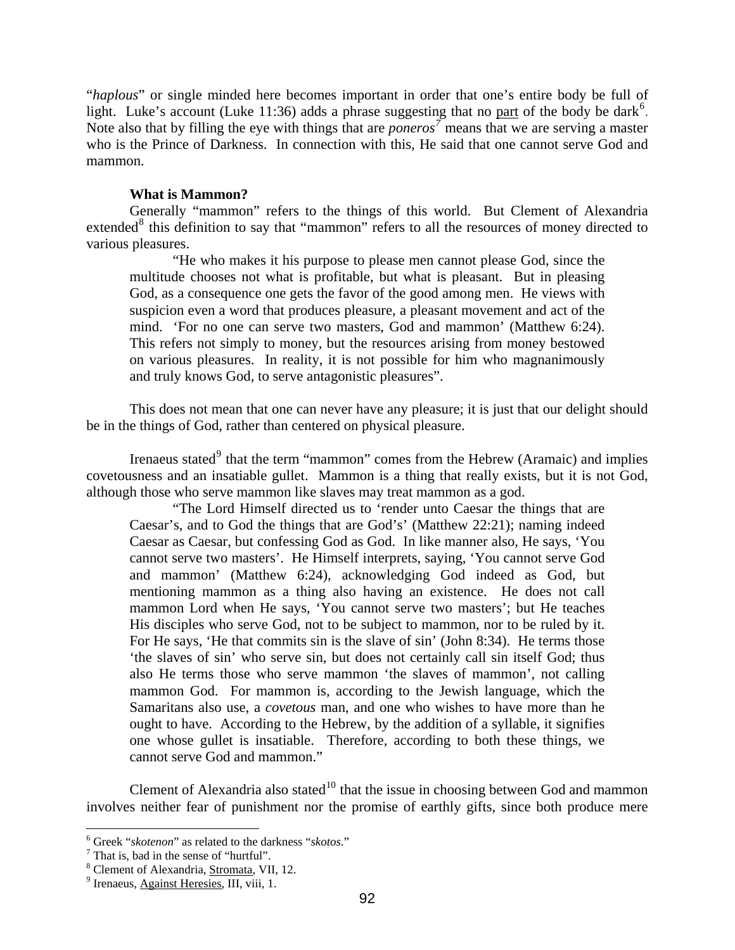<span id="page-5-0"></span>"*haplous*" or single minded here becomes important in order that one's entire body be full of light. Luke's account (Luke 11:3[6](#page-5-1)) adds a phrase suggesting that no part of the body be dark<sup>6</sup>. Note also that by filling the eye with things that are *poneros* means that we are serving a master who is the Prince of Darkness. In connection with this, He said that one cannot serve God and mammon.

## **What is Mammon?**

Generally "mammon" refers to the things of this world. But Clement of Alexandria extended<sup>[8](#page-5-3)</sup> this definition to say that "mammon" refers to all the resources of money directed to various pleasures.

"He who makes it his purpose to please men cannot please God, since the multitude chooses not what is profitable, but what is pleasant. But in pleasing God, as a consequence one gets the favor of the good among men. He views with suspicion even a word that produces pleasure, a pleasant movement and act of the mind. 'For no one can serve two masters, God and mammon' (Matthew 6:24). This refers not simply to money, but the resources arising from money bestowed on various pleasures. In reality, it is not possible for him who magnanimously and truly knows God, to serve antagonistic pleasures".

This does not mean that one can never have any pleasure; it is just that our delight should be in the things of God, rather than centered on physical pleasure.

Irenaeus stated<sup>[9](#page-5-4)</sup> that the term "mammon" comes from the Hebrew (Aramaic) and implies covetousness and an insatiable gullet. Mammon is a thing that really exists, but it is not God, although those who serve mammon like slaves may treat mammon as a god.

"The Lord Himself directed us to 'render unto Caesar the things that are Caesar's, and to God the things that are God's' (Matthew 22:21); naming indeed Caesar as Caesar, but confessing God as God. In like manner also, He says, 'You cannot serve two masters'. He Himself interprets, saying, 'You cannot serve God and mammon' (Matthew 6:24), acknowledging God indeed as God, but mentioning mammon as a thing also having an existence. He does not call mammon Lord when He says, 'You cannot serve two masters'; but He teaches His disciples who serve God, not to be subject to mammon, nor to be ruled by it. For He says, 'He that commits sin is the slave of sin' (John 8:34). He terms those 'the slaves of sin' who serve sin, but does not certainly call sin itself God; thus also He terms those who serve mammon 'the slaves of mammon', not calling mammon God. For mammon is, according to the Jewish language, which the Samaritans also use, a *covetous* man, and one who wishes to have more than he ought to have. According to the Hebrew, by the addition of a syllable, it signifies one whose gullet is insatiable. Therefore, according to both these things, we cannot serve God and mammon."

Clement of Alexandria also stated<sup>[10](#page-5-1)</sup> that the issue in choosing between God and mammon involves neither fear of punishment nor the promise of earthly gifts, since both produce mere

 6 Greek "*skotenon*" as related to the darkness "*skotos*." 7

<span id="page-5-2"></span><span id="page-5-1"></span><sup>&</sup>lt;sup>7</sup> That is, bad in the sense of "hurtful".

<span id="page-5-3"></span><sup>&</sup>lt;sup>8</sup> Clement of Alexandria,  $\frac{Stromata}{g}$ , VII, 12.

<span id="page-5-4"></span> $<sup>9</sup>$  Irenaeus, Against Heresies, III, viii, 1.</sup>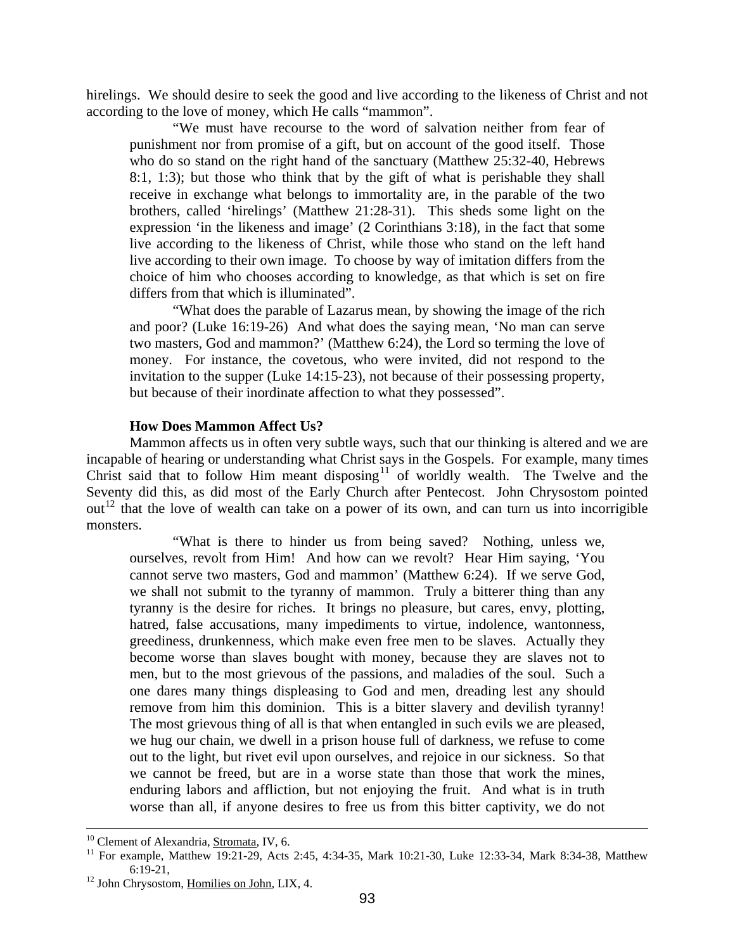<span id="page-6-0"></span>hirelings. We should desire to seek the good and live according to the likeness of Christ and not according to the love of money, which He calls "mammon".

"We must have recourse to the word of salvation neither from fear of punishment nor from promise of a gift, but on account of the good itself. Those who do so stand on the right hand of the sanctuary (Matthew 25:32-40, Hebrews 8:1, 1:3); but those who think that by the gift of what is perishable they shall receive in exchange what belongs to immortality are, in the parable of the two brothers, called 'hirelings' (Matthew 21:28-31). This sheds some light on the expression 'in the likeness and image' (2 Corinthians 3:18), in the fact that some live according to the likeness of Christ, while those who stand on the left hand live according to their own image. To choose by way of imitation differs from the choice of him who chooses according to knowledge, as that which is set on fire differs from that which is illuminated".

"What does the parable of Lazarus mean, by showing the image of the rich and poor? (Luke 16:19-26) And what does the saying mean, 'No man can serve two masters, God and mammon?' (Matthew 6:24), the Lord so terming the love of money. For instance, the covetous, who were invited, did not respond to the invitation to the supper (Luke 14:15-23), not because of their possessing property, but because of their inordinate affection to what they possessed".

#### **How Does Mammon Affect Us?**

 $out<sup>12</sup>$  $out<sup>12</sup>$  $out<sup>12</sup>$  that the love of wealth can take on a power of its own, and can turn us into incorrigible monsters. Mammon affects us in often very subtle ways, such that our thinking is altered and we are incapable of hearing or understanding what Christ says in the Gospels. For example, many times Christ said that to follow Him meant disposing $11$  of worldly wealth. The Twelve and the Seventy did this, as did most of the Early Church after Pentecost. John Chrysostom pointed

"What is there to hinder us from being saved? Nothing, unless we, ourselves, revolt from Him! And how can we revolt? Hear Him saying, 'You cannot serve two masters, God and mammon' (Matthew 6:24). If we serve God, we shall not submit to the tyranny of mammon. Truly a bitterer thing than any tyranny is the desire for riches. It brings no pleasure, but cares, envy, plotting, hatred, false accusations, many impediments to virtue, indolence, wantonness, greediness, drunkenness, which make even free men to be slaves. Actually they become worse than slaves bought with money, because they are slaves not to men, but to the most grievous of the passions, and maladies of the soul. Such a one dares many things displeasing to God and men, dreading lest any should remove from him this dominion. This is a bitter slavery and devilish tyranny! The most grievous thing of all is that when entangled in such evils we are pleased, we hug our chain, we dwell in a prison house full of darkness, we refuse to come out to the light, but rivet evil upon ourselves, and rejoice in our sickness. So that we cannot be freed, but are in a worse state than those that work the mines, enduring labors and affliction, but not enjoying the fruit. And what is in truth worse than all, if anyone desires to free us from this bitter captivity, we do not

<sup>&</sup>lt;sup>10</sup> Clement of Alexandria, Stromata, IV, 6.

<span id="page-6-1"></span><sup>&</sup>lt;sup>11</sup> For example, Matthew 19:21-29, Acts 2:45, 4:34-35, Mark 10:21-30, Luke 12:33-34, Mark 8:34-38, Matthew 6:19-21,

<span id="page-6-2"></span> $12$  John Chrysostom, Homilies on John, LIX, 4.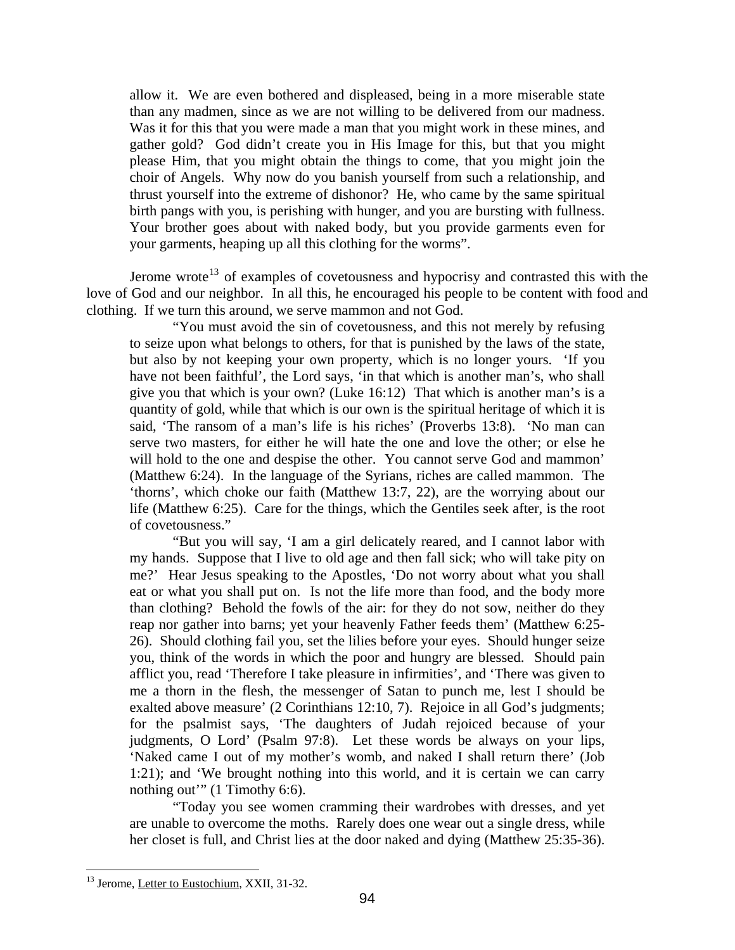Your brother goes about with naked body, but you provide garments even for your garments, heaping up all this clothing for the worms". allow it. We are even bothered and displeased, being in a more miserable state than any madmen, since as we are not willing to be delivered from our madness. Was it for this that you were made a man that you might work in these mines, and gather gold? God didn't create you in His Image for this, but that you might please Him, that you might obtain the things to come, that you might join the choir of Angels. Why now do you banish yourself from such a relationship, and thrust yourself into the extreme of dishonor? He, who came by the same spiritual birth pangs with you, is perishing with hunger, and you are bursting with fullness.

love of God and our neighbor. In all this, he encouraged his people to be content with food and clothing. If we turn this around, we serve mammon and not God. Jerome wrote<sup>[13](#page-7-0)</sup> of examples of covetousness and hypocrisy and contrasted this with the

life (Matthew 6:25). Care for the things, which the Gentiles seek after, is the root of cove tousness." "You must avoid the sin of covetousness, and this not merely by refusing to seize upon what belongs to others, for that is punished by the laws of the state, but also by not keeping your own property, which is no longer yours. 'If you have not been faithful', the Lord says, 'in that which is another man's, who shall give you that which is your own? (Luke 16:12) That which is another man's is a quantity of gold, while that which is our own is the spiritual heritage of which it is said, 'The ransom of a man's life is his riches' (Proverbs 13:8). 'No man can serve two masters, for either he will hate the one and love the other; or else he will hold to the one and despise the other. You cannot serve God and mammon' (Matthew 6:24). In the language of the Syrians, riches are called mammon. The 'thorns', which choke our faith (Matthew 13:7, 22), are the worrying about our

 $1:21$ ; and 'We brought nothing into this world, and it is certain we can carry nothing out" (1 Timothy 6:6). "But you will say, 'I am a girl delicately reared, and I cannot labor with my hands. Suppose that I live to old age and then fall sick; who will take pity on me?' Hear Jesus speaking to the Apostles, 'Do not worry about what you shall eat or what you shall put on. Is not the life more than food, and the body more than clothing? Behold the fowls of the air: for they do not sow, neither do they reap nor gather into barns; yet your heavenly Father feeds them' (Matthew 6:25- 26). Should clothing fail you, set the lilies before your eyes. Should hunger seize you, think of the words in which the poor and hungry are blessed. Should pain afflict you, read 'Therefore I take pleasure in infirmities', and 'There was given to me a thorn in the flesh, the messenger of Satan to punch me, lest I should be exalted above measure' (2 Corinthians 12:10, 7). Rejoice in all God's judgments; for the psalmist says, 'The daughters of Judah rejoiced because of your judgments, O Lord' (Psalm 97:8). Let these words be always on your lips, 'Naked came I out of my mother's womb, and naked I shall return there' (Job

"Today you see women cramming their wardrobes with dresses, and yet are unable to overcome the moths. Rarely does one wear out a single dress, while her closet is full, and Christ lies at the door naked and dying (Matthew 25:35-36).

<span id="page-7-0"></span><sup>&</sup>lt;sup>13</sup> Jerome, Letter to Eustochium, XXII, 31-32.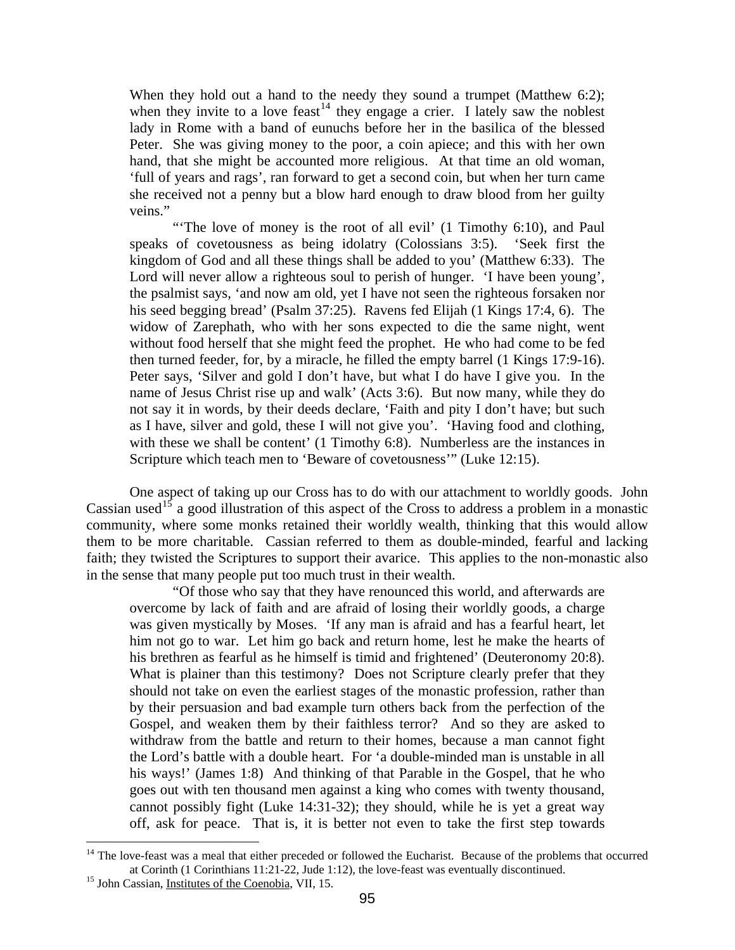'full of years and rags', ran forward to get a second coin, but when her turn came she rec eived not a penny but a blow hard enough to draw blood from her guilty When they hold out a hand to the needy they sound a trumpet (Matthew 6:2); when they invite to a love feast<sup>[14](#page-8-0)</sup> they engage a crier. I lately saw the noblest lady in Rome with a band of eunuchs before her in the basilica of the blessed Peter. She was giving money to the poor, a coin apiece; and this with her own hand, that she might be accounted more religious. At that time an old woman, veins."

as I have, silver and gold, these I will not give you'. 'Having food and clothing, with these we shall be content' (1 Timothy 6:8). Numberless are the instances in "The love of money is the root of all evil' (1 Timothy 6:10), and Paul speaks of covetousness as being idolatry (Colossians 3:5). 'Seek first the kingdom of God and all these things shall be added to you' (Matthew 6:33). The Lord will never allow a righteous soul to perish of hunger. 'I have been young', the psalmist says, 'and now am old, yet I have not seen the righteous forsaken nor his seed begging bread' (Psalm 37:25). Ravens fed Elijah (1 Kings 17:4, 6). The widow of Zarephath, who with her sons expected to die the same night, went without food herself that she might feed the prophet. He who had come to be fed then turned feeder, for, by a miracle, he filled the empty barrel (1 Kings 17:9-16). Peter says, 'Silver and gold I don't have, but what I do have I give you. In the name of Jesus Christ rise up and walk' (Acts 3:6). But now many, while they do not say it in words, by their deeds declare, 'Faith and pity I don't have; but such Scripture which teach men to 'Beware of covetousness'" (Luke 12:15).

them to be more charitable. Cassian referred to them as double-minded, fearful and lacking faith; they twisted the Scriptures to support their avarice. This applies to the non-monastic also in the s ense that many people put too much trust in their wealth. One aspect of taking up our Cross has to do with our attachment to worldly goods. John Cassian used<sup>[15](#page-8-1)</sup> a good illustration of this aspect of the Cross to address a problem in a monastic community, where some monks retained their worldly wealth, thinking that this would allow

"Of those who say that they have renounced this world, and afterwards are overcome by lack of faith and are afraid of losing their worldly goods, a charge was given mystically by Moses. 'If any man is afraid and has a fearful heart, let him not go to war. Let him go back and return home, lest he make the hearts of his brethren as fearful as he himself is timid and frightened' (Deuteronomy 20:8). What is plainer than this testimony? Does not Scripture clearly prefer that they should not take on even the earliest stages of the monastic profession, rather than by their persuasion and bad example turn others back from the perfection of the Gospel, and weaken them by their faithless terror? And so they are asked to withdraw from the battle and return to their homes, because a man cannot fight the Lord's battle with a double heart. For 'a double-minded man is unstable in all his ways!' (James 1:8) And thinking of that Parable in the Gospel, that he who goes out with ten thousand men against a king who comes with twenty thousand, cannot possibly fight (Luke 14:31-32); they should, while he is yet a great way off, ask for peace. That is, it is better not even to take the first step towards

<span id="page-8-1"></span><span id="page-8-0"></span><sup>&</sup>lt;sup>14</sup> The love-feast was a meal that either preceded or followed the Eucharist. Because of the problems that occurred at Corinth (1 Corinthians 11:21-22, Jude 1:12), the love-feast was eventually discontinued. 15 John Cassian, Institutes of the Coenobia, VII, 15.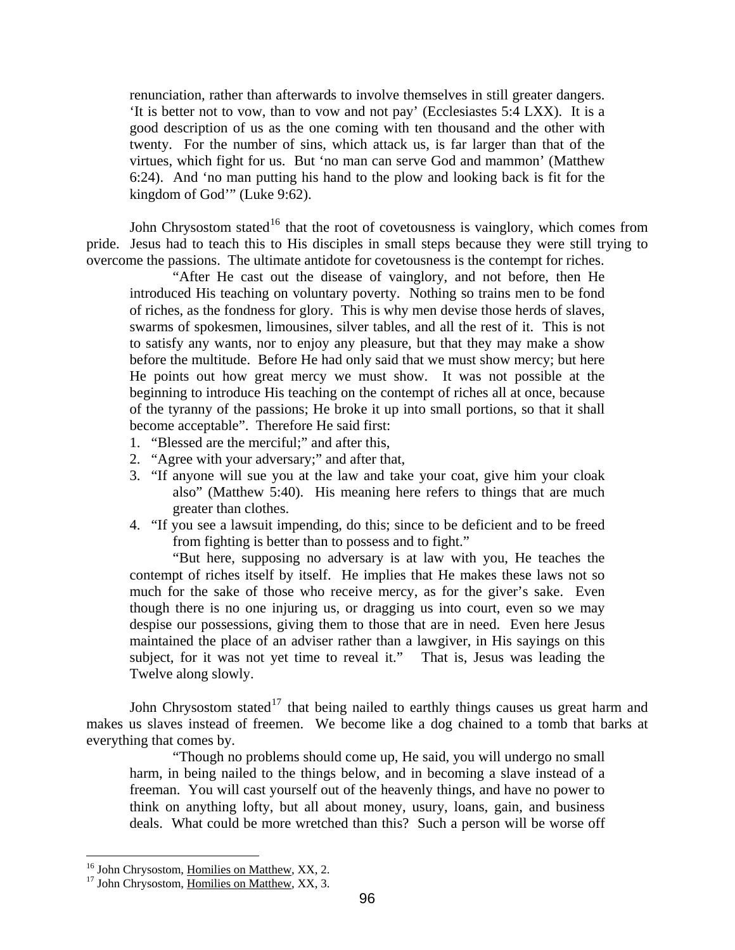virtues, which fight for us. But 'no man can serve God and mammon' (Matthew 6:24). And 'no man putting his hand to the plow and looking back is fit for the renunciation, rather than afterwards to involve themselves in still greater dangers. 'It is better not to vow, than to vow and not pay' (Ecclesiastes 5:4 LXX). It is a good description of us as the one coming with ten thousand and the other with twenty. For the number of sins, which attack us, is far larger than that of the kingdom of God'" (Luke 9:62).

pride. Jesus had to teach this to His disciples in small steps because they were still trying to overcom e the passions. The ultimate antidote for covetousness is the contempt for riches. John Chrysostom stated<sup>[16](#page-9-0)</sup> that the root of covetousness is vainglory, which comes from

beginning to introduce His teaching on the contempt of riches all at once, because of the tyranny of the passions; He broke it up into small portions, so that it shall "After He cast out the disease of vainglory, and not before, then He introduced His teaching on voluntary poverty. Nothing so trains men to be fond of riches, as the fondness for glory. This is why men devise those herds of slaves, swarms of spokesmen, limousines, silver tables, and all the rest of it. This is not to satisfy any wants, nor to enjoy any pleasure, but that they may make a show before the multitude. Before He had only said that we must show mercy; but here He points out how great mercy we must show. It was not possible at the become acceptable". Therefore He said first:

- 1. "Blessed are the merciful;" and after this,
- 2. "Agree with your adversary;" and after that,
- 3. "If anyone will sue you at the law and take your coat, give him your cloak also" (Matthew 5:40). His meaning here refers to things that are much greater than clothes.
- 4. "If you see a lawsuit impending, do this; since to be deficient and to be freed from fighting is better than to possess and to fight."

maintained the place of an adviser rather than a lawgiver, in His sayings on this subject, for it was not yet time to reveal it." That is, Jesus was leading the "But here, supposing no adversary is at law with you, He teaches the contempt of riches itself by itself. He implies that He makes these laws not so much for the sake of those who receive mercy, as for the giver's sake. Even though there is no one injuring us, or dragging us into court, even so we may despise our possessions, giving them to those that are in need. Even here Jesus Twelve along slowly.

John Chrysostom stated  $17$  that being nailed to earthly things causes us great harm and makes us slaves instead of freemen. We become like a dog chained to a tomb that barks at everyth ing that comes by.

"Though no problems should come up, He said, you will undergo no small harm, in being nailed to the things below, and in becoming a slave instead of a freeman. You will cast yourself out of the heavenly things, and have no power to think on anything lofty, but all about money, usury, loans, gain, and business deals. What could be more wretched than this? Such a person will be worse off

<span id="page-9-0"></span><sup>&</sup>lt;sup>16</sup> John Chrysostom, Homilies on Matthew, XX, 2.

 $17$  John Chrysostom, Homilies on Matthew, XX, 3.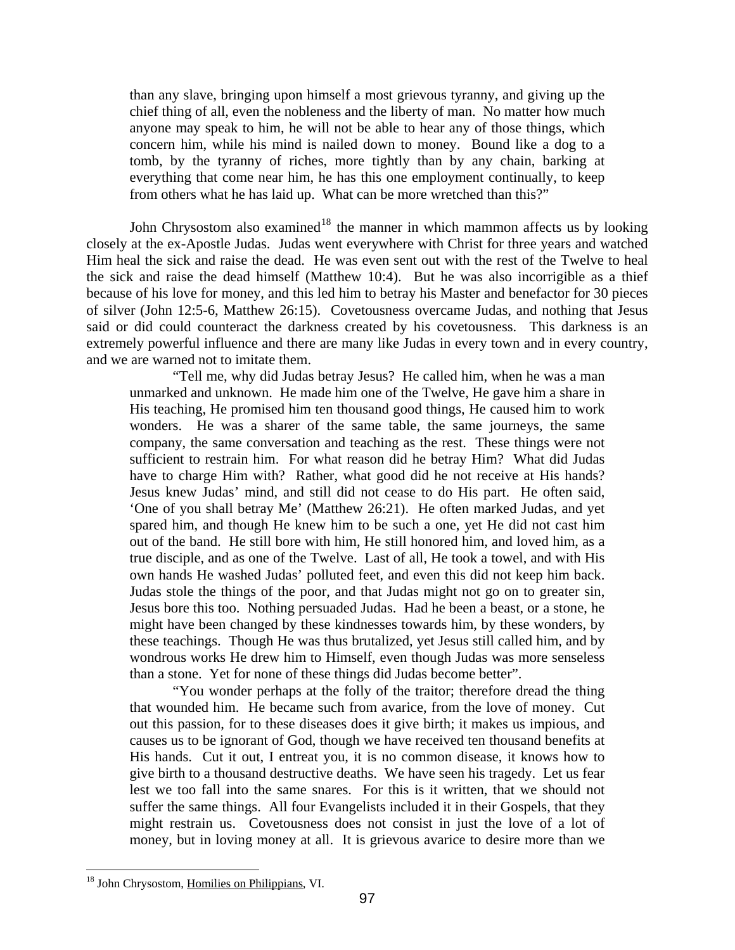tomb, by the tyranny of riches, more tightly than by any chain, barking at everything that come near him, he has this one employment continually, to keep than any slave, bringing upon himself a most grievous tyranny, and giving up the chief thing of all, even the nobleness and the liberty of man. No matter how much anyone may speak to him, he will not be able to hear any of those things, which concern him, while his mind is nailed down to money. Bound like a dog to a from others what he has laid up. What can be more wretched than this?"

said or did could counteract the darkness created by his covetousness. This darkness is an extremely powerful influence and there are many like Judas in every town and in every country, and we are warned not to imitate them. John Chrysostom also examined<sup>[18](#page-10-0)</sup> the manner in which mammon affects us by looking closely at the ex-Apostle Judas. Judas went everywhere with Christ for three years and watched Him heal the sick and raise the dead. He was even sent out with the rest of the Twelve to heal the sick and raise the dead himself (Matthew 10:4). But he was also incorrigible as a thief because of his love for money, and this led him to betray his Master and benefactor for 30 pieces of silver (John 12:5-6, Matthew 26:15). Covetousness overcame Judas, and nothing that Jesus

these teachings. Though He was thus brutalized, yet Jesus still called him, and by wondro us works He drew him to Himself, even though Judas was more senseless "Tell me, why did Judas betray Jesus? He called him, when he was a man unmarked and unknown. He made him one of the Twelve, He gave him a share in His teaching, He promised him ten thousand good things, He caused him to work wonders. He was a sharer of the same table, the same journeys, the same company, the same conversation and teaching as the rest. These things were not sufficient to restrain him. For what reason did he betray Him? What did Judas have to charge Him with? Rather, what good did he not receive at His hands? Jesus knew Judas' mind, and still did not cease to do His part. He often said, 'One of you shall betray Me' (Matthew 26:21). He often marked Judas, and yet spared him, and though He knew him to be such a one, yet He did not cast him out of the band. He still bore with him, He still honored him, and loved him, as a true disciple, and as one of the Twelve. Last of all, He took a towel, and with His own hands He washed Judas' polluted feet, and even this did not keep him back. Judas stole the things of the poor, and that Judas might not go on to greater sin, Jesus bore this too. Nothing persuaded Judas. Had he been a beast, or a stone, he might have been changed by these kindnesses towards him, by these wonders, by than a stone. Yet for none of these things did Judas become better".

"You wonder perhaps at the folly of the traitor; therefore dread the thing that wounded him. He became such from avarice, from the love of money. Cut out this passion, for to these diseases does it give birth; it makes us impious, and causes us to be ignorant of God, though we have received ten thousand benefits at His hands. Cut it out, I entreat you, it is no common disease, it knows how to give birth to a thousand destructive deaths. We have seen his tragedy. Let us fear lest we too fall into the same snares. For this is it written, that we should not suffer the same things. All four Evangelists included it in their Gospels, that they might restrain us. Covetousness does not consist in just the love of a lot of money, but in loving money at all. It is grievous avarice to desire more than we

<span id="page-10-0"></span><sup>18</sup> John Chrysostom, Homilies on Philippians, VI.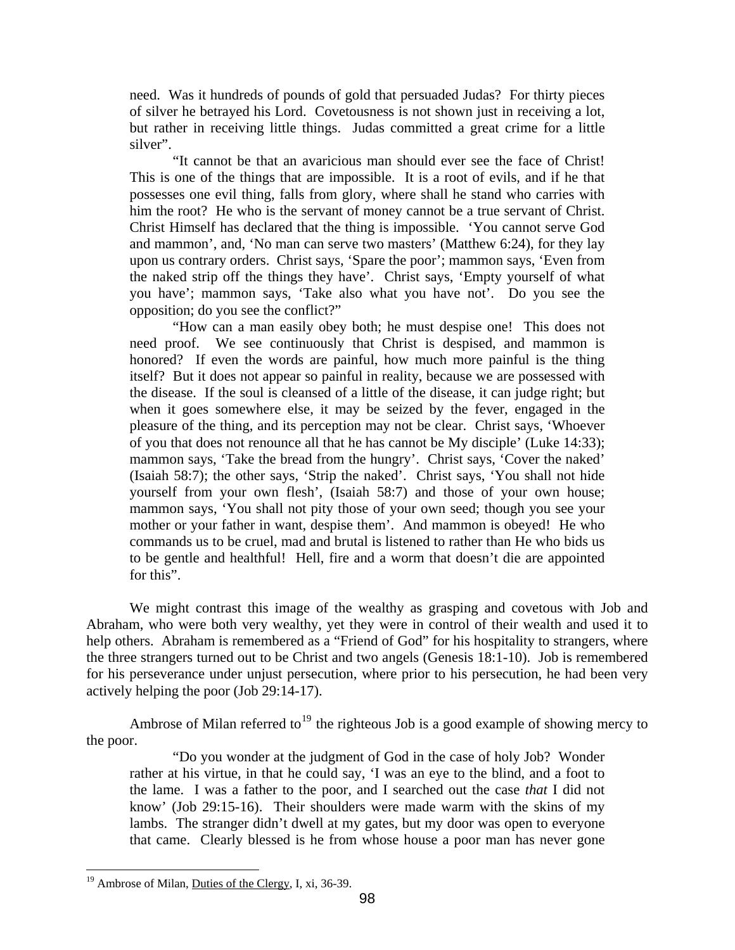of silver he betrayed his Lord. Covetousness is not shown just in receiving a lot, but rath er in receiving little things. Judas committed a great crime for a little need. Was it hundreds of pounds of gold that persuaded Judas? For thirty pieces silver".

the naked strip off the things they have'. Christ says, 'Empty yourself of what you ha ve'; mammon says, 'Take also what you have not'. Do you see the "It cannot be that an avaricious man should ever see the face of Christ! This is one of the things that are impossible. It is a root of evils, and if he that possesses one evil thing, falls from glory, where shall he stand who carries with him the root? He who is the servant of money cannot be a true servant of Christ. Christ Himself has declared that the thing is impossible. 'You cannot serve God and mammon', and, 'No man can serve two masters' (Matthew 6:24), for they lay upon us contrary orders. Christ says, 'Spare the poor'; mammon says, 'Even from opposition; do you see the conflict?"

commands us to be cruel, mad and brutal is listened to rather than He who bids us to be gentle and healthful! Hell, fire and a worm that doesn't die are appointed "How can a man easily obey both; he must despise one! This does not need proof. We see continuously that Christ is despised, and mammon is honored? If even the words are painful, how much more painful is the thing itself? But it does not appear so painful in reality, because we are possessed with the disease. If the soul is cleansed of a little of the disease, it can judge right; but when it goes somewhere else, it may be seized by the fever, engaged in the pleasure of the thing, and its perception may not be clear. Christ says, 'Whoever of you that does not renounce all that he has cannot be My disciple' (Luke 14:33); mammon says, 'Take the bread from the hungry'. Christ says, 'Cover the naked' (Isaiah 58:7); the other says, 'Strip the naked'. Christ says, 'You shall not hide yourself from your own flesh', (Isaiah 58:7) and those of your own house; mammon says, 'You shall not pity those of your own seed; though you see your mother or your father in want, despise them'. And mammon is obeyed! He who for this".

the three strangers turned out to be Christ and two angels (Genesis 18:1-10). Job is remembered for his perseverance under unjust persecution, where prior to his persecution, he had been very actively helping the poor (Job 29:14-17). We might contrast this image of the wealthy as grasping and covetous with Job and Abraham, who were both very wealthy, yet they were in control of their wealth and used it to help others. Abraham is remembered as a "Friend of God" for his hospitality to strangers, where

Ambrose of Milan referred to<sup>19</sup> the righteous Job is a good example of showing mercy to the poo r.

"Do you wonder at the judgment of God in the case of holy Job? Wonder rather at his virtue, in that he could say, 'I was an eye to the blind, and a foot to the lame. I was a father to the poor, and I searched out the case *that* I did not know' (Job 29:15-16). Their shoulders were made warm with the skins of my lambs. The stranger didn't dwell at my gates, but my door was open to everyone that came. Clearly blessed is he from whose house a poor man has never gone

 $\overline{a}$  $19$  Ambrose of Milan, Duties of the Clergy, I, xi, 36-39.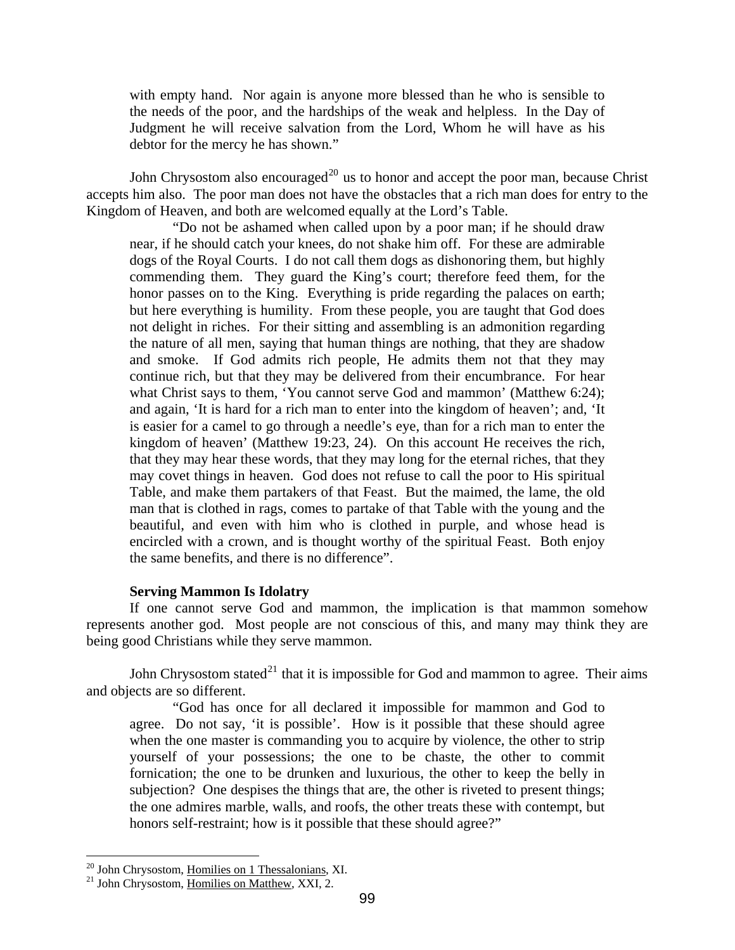<span id="page-12-0"></span>the needs of the poor, and the hardships of the weak and helpless. In the Day of Judgment he will receive salvation from the Lord, Whom he will have as his with empty hand. Nor again is anyone more blessed than he who is sensible to debtor for the mercy he has shown."

John Chrysostom also encouraged<sup>[20](#page-12-1)</sup> us to honor and accept the poor man, because Christ accepts him also. The poor man does not have the obstacles that a rich man does for entry to the Kingdo m of Heaven, and both are welcomed equally at the Lord's Table.

beautiful, and even with him who is clothed in purple, and whose head is encircled with a crown, and is thought worthy of the spiritual Feast. Both enjoy the same benefits, and there is no difference". "Do not be ashamed when called upon by a poor man; if he should draw near, if he should catch your knees, do not shake him off. For these are admirable dogs of the Royal Courts. I do not call them dogs as dishonoring them, but highly commending them. They guard the King's court; therefore feed them, for the honor passes on to the King. Everything is pride regarding the palaces on earth; but here everything is humility. From these people, you are taught that God does not delight in riches. For their sitting and assembling is an admonition regarding the nature of all men, saying that human things are nothing, that they are shadow and smoke. If God admits rich people, He admits them not that they may continue rich, but that they may be delivered from their encumbrance. For hear what Christ says to them, 'You cannot serve God and mammon' (Matthew 6:24); and again, 'It is hard for a rich man to enter into the kingdom of heaven'; and, 'It is easier for a camel to go through a needle's eye, than for a rich man to enter the kingdom of heaven' (Matthew 19:23, 24). On this account He receives the rich, that they may hear these words, that they may long for the eternal riches, that they may covet things in heaven. God does not refuse to call the poor to His spiritual Table, and make them partakers of that Feast. But the maimed, the lame, the old man that is clothed in rags, comes to partake of that Table with the young and the

#### **Serving Mammon Is Idolatry**

If one cannot serve God and mammon, the implication is that mammon somehow represents another god. Most people are not conscious of this, and many may think they are being g ood Christians while they serve mammon.

John Chrysostom stated<sup>21</sup> that it is impossible for God and mammon to agree. Their aims and obj ects are so different.

subjection? One despises the things that are, the other is riveted to present things; the one admires marble, walls, and roofs, the other treats these with contempt, but "God has once for all declared it impossible for mammon and God to agree. Do not say, 'it is possible'. How is it possible that these should agree when the one master is commanding you to acquire by violence, the other to strip yourself of your possessions; the one to be chaste, the other to commit fornication; the one to be drunken and luxurious, the other to keep the belly in honors self-restraint; how is it possible that these should agree?"

<span id="page-12-1"></span><sup>&</sup>lt;sup>20</sup> John Chrysostom, Homilies on 1 Thessalonians, XI.

 $21$  John Chrysostom, Homilies on Matthew, XXI, 2.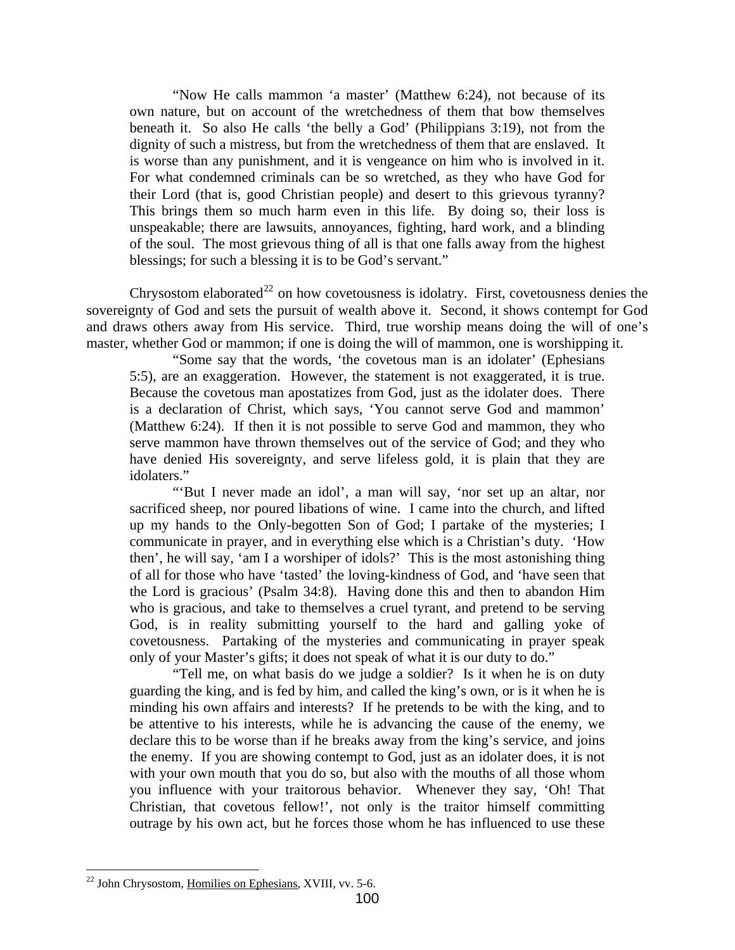unspeakable; there are lawsuits, annoyances, fighting, hard work, and a blinding of the soul. The most grievous thing of all is that one falls away from the highest "Now He calls mammon 'a master' (Matthew 6:24), not because of its own nature, but on account of the wretchedness of them that bow themselves beneath it. So also He calls 'the belly a God' (Philippians 3:19), not from the dignity of such a mistress, but from the wretchedness of them that are enslaved. It is worse than any punishment, and it is vengeance on him who is involved in it. For what condemned criminals can be so wretched, as they who have God for their Lord (that is, good Christian people) and desert to this grievous tyranny? This brings them so much harm even in this life. By doing so, their loss is blessings; for such a blessing it is to be God's servant."

sovereignty of God and sets the pursuit of wealth above it. Second, it shows contempt for God and draws others away from His service. Third, true worship means doing the will of one's master, whether God or mammon; if one is doing the will of mammon, one is worshipping it. Chrysostom elaborated<sup>[22](#page-13-0)</sup> on how covetousness is idolatry. First, covetousness denies the

serve mammon have thrown themselves out of the service of God; and they who have d enied His sovereignty, and serve lifeless gold, it is plain that they are "Some say that the words, 'the covetous man is an idolater' (Ephesians 5:5), are an exaggeration. However, the statement is not exaggerated, it is true. Because the covetous man apostatizes from God, just as the idolater does. There is a declaration of Christ, which says, 'You cannot serve God and mammon' (Matthew 6:24). If then it is not possible to serve God and mammon, they who idolaters."

God, is in reality submitting yourself to the hard and galling yoke of covetou sness. Partaking of the mysteries and communicating in prayer speak "'But I never made an idol', a man will say, 'nor set up an altar, nor sacrificed sheep, nor poured libations of wine. I came into the church, and lifted up my hands to the Only-begotten Son of God; I partake of the mysteries; I communicate in prayer, and in everything else which is a Christian's duty. 'How then', he will say, 'am I a worshiper of idols?' This is the most astonishing thing of all for those who have 'tasted' the loving-kindness of God, and 'have seen that the Lord is gracious' (Psalm 34:8). Having done this and then to abandon Him who is gracious, and take to themselves a cruel tyrant, and pretend to be serving only of your Master's gifts; it does not speak of what it is our duty to do."

outrage by his own act, but he forces those whom he has influenced to use these "Tell me, on what basis do we judge a soldier? Is it when he is on duty guarding the king, and is fed by him, and called the king's own, or is it when he is minding his own affairs and interests? If he pretends to be with the king, and to be attentive to his interests, while he is advancing the cause of the enemy, we declare this to be worse than if he breaks away from the king's service, and joins the enemy. If you are showing contempt to God, just as an idolater does, it is not with your own mouth that you do so, but also with the mouths of all those whom you influence with your traitorous behavior. Whenever they say, 'Oh! That Christian, that covetous fellow!', not only is the traitor himself committing

<span id="page-13-0"></span><sup>1</sup>  $^{22}$  John Chrysostom, Homilies on Ephesians, XVIII, vv. 5-6.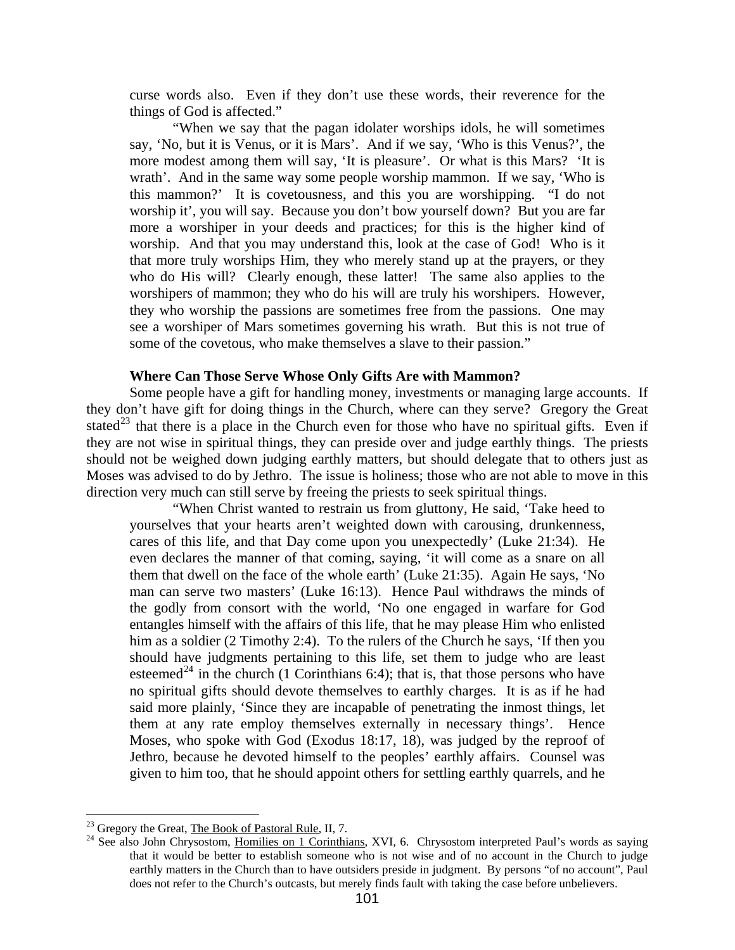<span id="page-14-0"></span>curse w ords also. Even if they don't use these words, their reverence for the things of God is affected."

they who worship the passions are sometimes free from the passions. One may see a worshiper of Mars sometimes governing his wrath. But this is not true of "When we say that the pagan idolater worships idols, he will sometimes say, 'No, but it is Venus, or it is Mars'. And if we say, 'Who is this Venus?', the more modest among them will say, 'It is pleasure'. Or what is this Mars? 'It is wrath'. And in the same way some people worship mammon. If we say, 'Who is this mammon?' It is covetousness, and this you are worshipping. "I do not worship it', you will say. Because you don't bow yourself down? But you are far more a worshiper in your deeds and practices; for this is the higher kind of worship. And that you may understand this, look at the case of God! Who is it that more truly worships Him, they who merely stand up at the prayers, or they who do His will? Clearly enough, these latter! The same also applies to the worshipers of mammon; they who do his will are truly his worshipers. However, some of the covetous, who make themselves a slave to their passion."

## **Where Can Those Serve Whose Only Gifts Are with Mammon?**

should not be weighed down judging earthly matters, but should delegate that to others just as Moses was advised to do by Jethro. The issue is holiness; those who are not able to move in this directio n very much can still serve by freeing the priests to seek spiritual things. Some people have a gift for handling money, investments or managing large accounts. If they don't have gift for doing things in the Church, where can they serve? Gregory the Great stated<sup>[23](#page-14-1)</sup> that there is a place in the Church even for those who have no spiritual gifts. Even if they are not wise in spiritual things, they can preside over and judge earthly things. The priests

given to him too, that he should appoint others for settling earthly quarrels, and he "When Christ wanted to restrain us from gluttony, He said, 'Take heed to yourselves that your hearts aren't weighted down with carousing, drunkenness, cares of this life, and that Day come upon you unexpectedly' (Luke 21:34). He even declares the manner of that coming, saying, 'it will come as a snare on all them that dwell on the face of the whole earth' (Luke 21:35). Again He says, 'No man can serve two masters' (Luke 16:13). Hence Paul withdraws the minds of the godly from consort with the world, 'No one engaged in warfare for God entangles himself with the affairs of this life, that he may please Him who enlisted him as a soldier (2 Timothy 2:4). To the rulers of the Church he says, 'If then you should have judgments pertaining to this life, set them to judge who are least esteemed<sup>[24](#page-14-2)</sup> in the church (1 Corinthians 6:4); that is, that those persons who have no spiritual gifts should devote themselves to earthly charges. It is as if he had said more plainly, 'Since they are incapable of penetrating the inmost things, let them at any rate employ themselves externally in necessary things'. Hence Moses, who spoke with God (Exodus 18:17, 18), was judged by the reproof of Jethro, because he devoted himself to the peoples' earthly affairs. Counsel was

1

<span id="page-14-2"></span><span id="page-14-1"></span>

<sup>&</sup>lt;sup>23</sup> Gregory the Great, <u>The Book of Pastoral Rule</u>, II, 7.<br><sup>24</sup> See also John Chrysostom, <u>Homilies on 1 Corinthians</u>, XVI, 6. Chrysostom interpreted Paul's words as saying that it would be better to establish someone who is not wise and of no account in the Church to judge earthly matters in the Church than to have outsiders preside in judgment. By persons "of no account", Paul does not refer to the Church's outcasts, but merely finds fault with taking the case before unbelievers.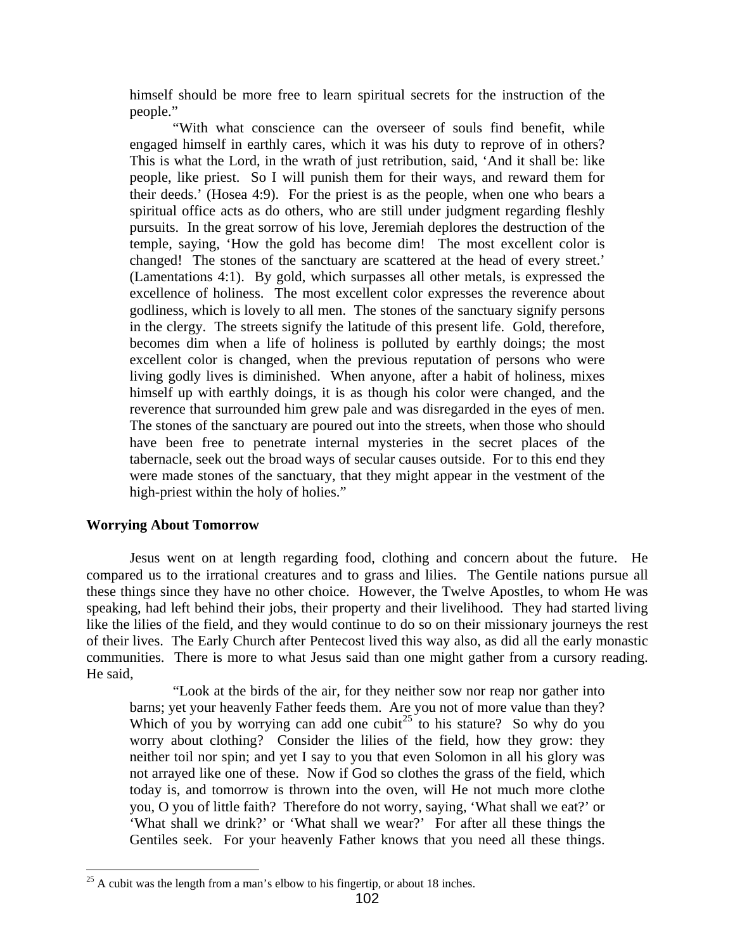<span id="page-15-0"></span>himself should be more free to learn spiritual secrets for the instruction of the people."

tabernacle, seek out the broad ways of secular causes outside. For to this end they were made stones of the sanctuary, that they might appear in the vestment of the high-priest within the holy of holies." "With what conscience can the overseer of souls find benefit, while engaged himself in earthly cares, which it was his duty to reprove of in others? This is what the Lord, in the wrath of just retribution, said, 'And it shall be: like people, like priest. So I will punish them for their ways, and reward them for their deeds.' (Hosea 4:9). For the priest is as the people, when one who bears a spiritual office acts as do others, who are still under judgment regarding fleshly pursuits. In the great sorrow of his love, Jeremiah deplores the destruction of the temple, saying, 'How the gold has become dim! The most excellent color is changed! The stones of the sanctuary are scattered at the head of every street.' (Lamentations 4:1). By gold, which surpasses all other metals, is expressed the excellence of holiness. The most excellent color expresses the reverence about godliness, which is lovely to all men. The stones of the sanctuary signify persons in the clergy. The streets signify the latitude of this present life. Gold, therefore, becomes dim when a life of holiness is polluted by earthly doings; the most excellent color is changed, when the previous reputation of persons who were living godly lives is diminished. When anyone, after a habit of holiness, mixes himself up with earthly doings, it is as though his color were changed, and the reverence that surrounded him grew pale and was disregarded in the eyes of men. The stones of the sanctuary are poured out into the streets, when those who should have been free to penetrate internal mysteries in the secret places of the

## **Worry ing About Tomorrow**

of their lives. The Early Church after Pentecost lived this way also, as did all the early monastic communities. There is more to what Jesus said than one might gather from a cursory reading. He said , Jesus went on at length regarding food, clothing and concern about the future. He compared us to the irrational creatures and to grass and lilies. The Gentile nations pursue all these things since they have no other choice. However, the Twelve Apostles, to whom He was speaking, had left behind their jobs, their property and their livelihood. They had started living like the lilies of the field, and they would continue to do so on their missionary journeys the rest

"Look at the birds of the air, for they neither sow nor reap nor gather into barns; yet your heavenly Father feeds them. Are you not of more value than they? Which of you by worrying can add one cubit<sup>[25](#page-15-1)</sup> to his stature? So why do you worry about clothing? Consider the lilies of the field, how they grow: they neither toil nor spin; and yet I say to you that even Solomon in all his glory was not arrayed like one of these. Now if God so clothes the grass of the field, which today is, and tomorrow is thrown into the oven, will He not much more clothe you, O you of little faith? Therefore do not worry, saying, 'What shall we eat?' or 'What shall we drink?' or 'What shall we wear?' For after all these things the Gentiles seek. For your heavenly Father knows that you need all these things.

<span id="page-15-1"></span> $\overline{a}$  $25$  A cubit was the length from a man's elbow to his fingertip, or about 18 inches.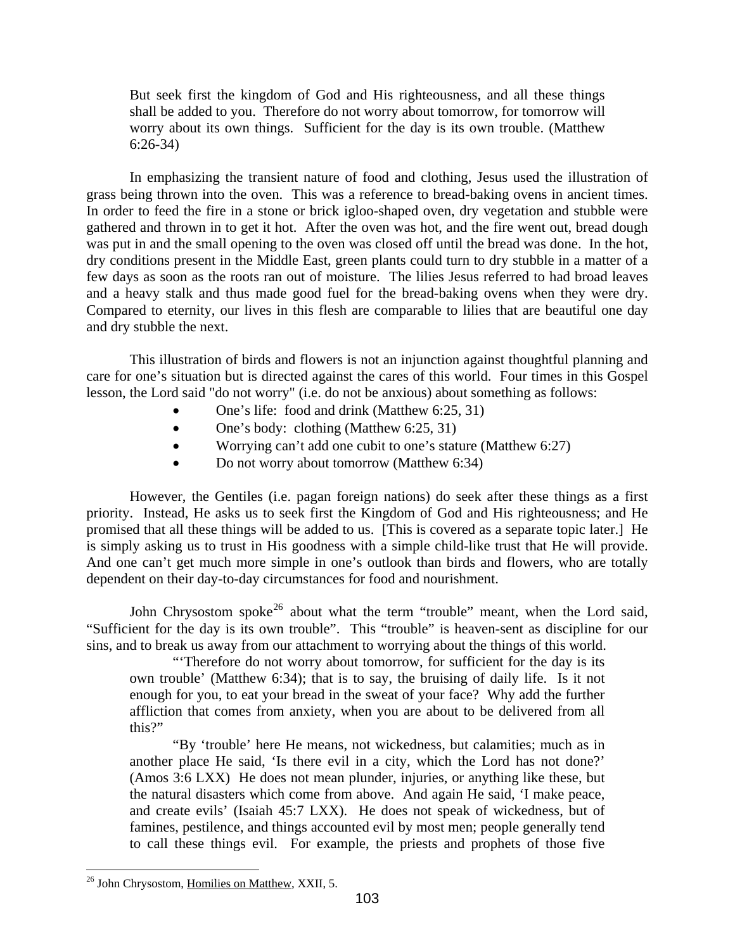shall be added to you. Therefore do not worry about tomorrow, for tomorrow will worry about its own things. Sufficient for the day is its own trouble. (Matthew But seek first the kingdom of God and His righteousness, and all these things 6:26-34)

and a heavy stalk and thus made good fuel for the bread-baking ovens when they were dry. Compared to eternity, our lives in this flesh are comparable to lilies that are beautiful one day and dry stubble the next. In emphasizing the transient nature of food and clothing, Jesus used the illustration of grass being thrown into the oven. This was a reference to bread-baking ovens in ancient times. In order to feed the fire in a stone or brick igloo-shaped oven, dry vegetation and stubble were gathered and thrown in to get it hot. After the oven was hot, and the fire went out, bread dough was put in and the small opening to the oven was closed off until the bread was done. In the hot, dry conditions present in the Middle East, green plants could turn to dry stubble in a matter of a few days as soon as the roots ran out of moisture. The lilies Jesus referred to had broad leaves

This illustration of birds and flowers is not an injunction against thoughtful planning and care for one's situation but is directed against the cares of this world. Four times in this Gospel lesson, the Lord said "do not worry" (i.e. do not be anxious) about something as follows:

- One's life: food and drink (Matthew 6:25, 31)
- One's body: clothing (Matthew 6:25, 31)
- Worrying can't add one cubit to one's stature (Matthew 6:27)
- Do not worry about tomorrow (Matthew 6:34)

is simply asking us to trust in His goodness with a simple child-like trust that He will provide. And one can't get much more simple in one's outlook than birds and flowers, who are totally depend ent on their day-to-day circumstances for food and nourishment. However, the Gentiles (i.e. pagan foreign nations) do seek after these things as a first priority. Instead, He asks us to seek first the Kingdom of God and His righteousness; and He promised that all these things will be added to us. [This is covered as a separate topic later.] He

John Chrysostom spoke<sup>[26](#page-16-0)</sup> about what the term "trouble" meant, when the Lord said, "Sufficient for the day is its own trouble". This "trouble" is heaven-sent as discipline for our sins, an d to break us away from our attachment to worrying about the things of this world.

enough for you, to eat your bread in the sweat of your face? Why add the further afflictio n that comes from anxiety, when you are about to be delivered from all "'Therefore do not worry about tomorrow, for sufficient for the day is its own trouble' (Matthew 6:34); that is to say, the bruising of daily life. Is it not this?"

to call these things evil. For example, the priests and prophets of those five "By 'trouble' here He means, not wickedness, but calamities; much as in another place He said, 'Is there evil in a city, which the Lord has not done?' (Amos 3:6 LXX) He does not mean plunder, injuries, or anything like these, but the natural disasters which come from above. And again He said, 'I make peace, and create evils' (Isaiah 45:7 LXX). He does not speak of wickedness, but of famines, pestilence, and things accounted evil by most men; people generally tend

<span id="page-16-0"></span> $\overline{a}$ <sup>26</sup> John Chrysostom, Homilies on Matthew, XXII, 5.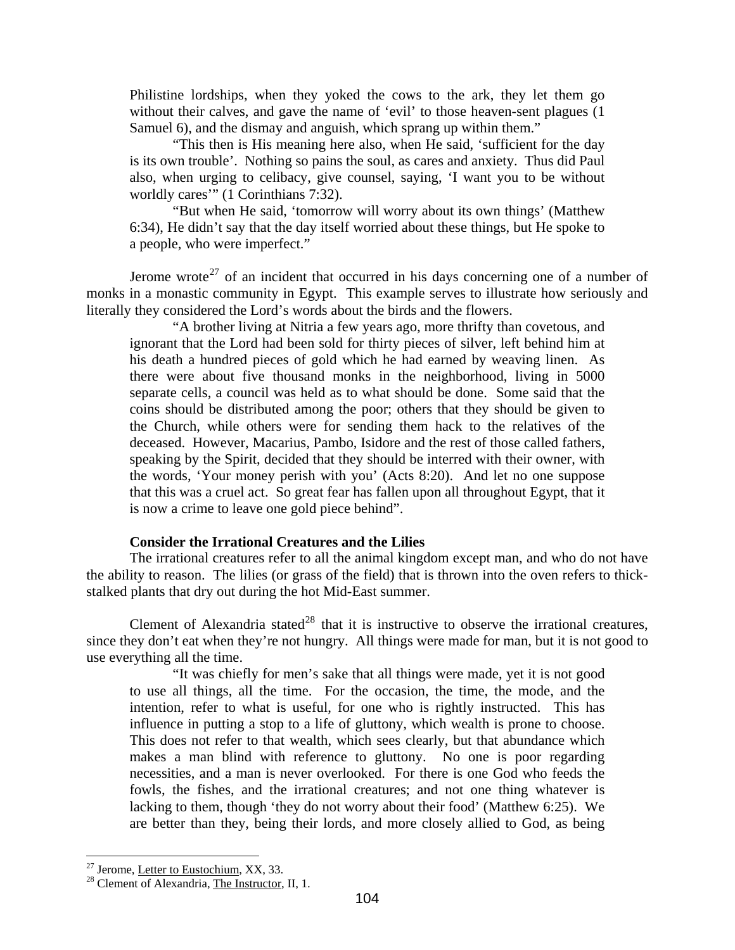<span id="page-17-0"></span>without their calves, and gave the name of 'evil' to those heaven-sent plagues (1) Samuel 6), and the dismay and anguish, which sprang up within them." Philistine lordships, when they yoked the cows to the ark, they let them go

also, when urging to celibacy, give counsel, saying, 'I want you to be without worldly cares'" (1 Corinthians 7:32). "This then is His meaning here also, when He said, 'sufficient for the day is its own trouble'. Nothing so pains the soul, as cares and anxiety. Thus did Paul

6:34), He didn't say that the day itself worried about these things, but He spoke to a people, who were imperfect." "But when He said, 'tomorrow will worry about its own things' (Matthew

monks in a monastic community in Egypt. This example serves to illustrate how seriously and literally they c onsidered the Lord's words about the birds and the flowers. Jerome wrote<sup>[27](#page-17-1)</sup> of an incident that occurred in his days concerning one of a number of

that this was a cruel act. So great fear has fallen upon all throughout Egypt, that it is now a crime to leave one gold piece behind". "A brother living at Nitria a few years ago, more thrifty than covetous, and ignorant that the Lord had been sold for thirty pieces of silver, left behind him at his death a hundred pieces of gold which he had earned by weaving linen. As there were about five thousand monks in the neighborhood, living in 5000 separate cells, a council was held as to what should be done. Some said that the coins should be distributed among the poor; others that they should be given to the Church, while others were for sending them hack to the relatives of the deceased. However, Macarius, Pambo, Isidore and the rest of those called fathers, speaking by the Spirit, decided that they should be interred with their owner, with the words, 'Your money perish with you' (Acts 8:20). And let no one suppose

## **Consider the Irrational Creatures and the Lilies**

the ability to reason. The lilies (or grass of the field) that is thrown into the oven refers to thickstalked plants that dry out during the hot Mid-East summer. The irrational creatures refer to all the animal kingdom except man, and who do not have

since they don't eat when they're not hungry. All things were made for man, but it is not good to use everything all the time. Clement of Alexandria stated<sup>[28](#page-17-2)</sup> that it is instructive to observe the irrational creatures,

"It was chiefly for men's sake that all things were made, yet it is not good to use all things, all the time. For the occasion, the time, the mode, and the intention, refer to what is useful, for one who is rightly instructed. This has influence in putting a stop to a life of gluttony, which wealth is prone to choose. This does not refer to that wealth, which sees clearly, but that abundance which makes a man blind with reference to gluttony. No one is poor regarding necessities, and a man is never overlooked. For there is one God who feeds the fowls, the fishes, and the irrational creatures; and not one thing whatever is lacking to them, though 'they do not worry about their food' (Matthew 6:25). We are better than they, being their lords, and more closely allied to God, as being

<span id="page-17-1"></span><sup>&</sup>lt;sup>27</sup> Jerome, Letter to Eustochium, XX, 33.

<span id="page-17-2"></span> $28$  Clement of Alexandria, The Instructor, II, 1.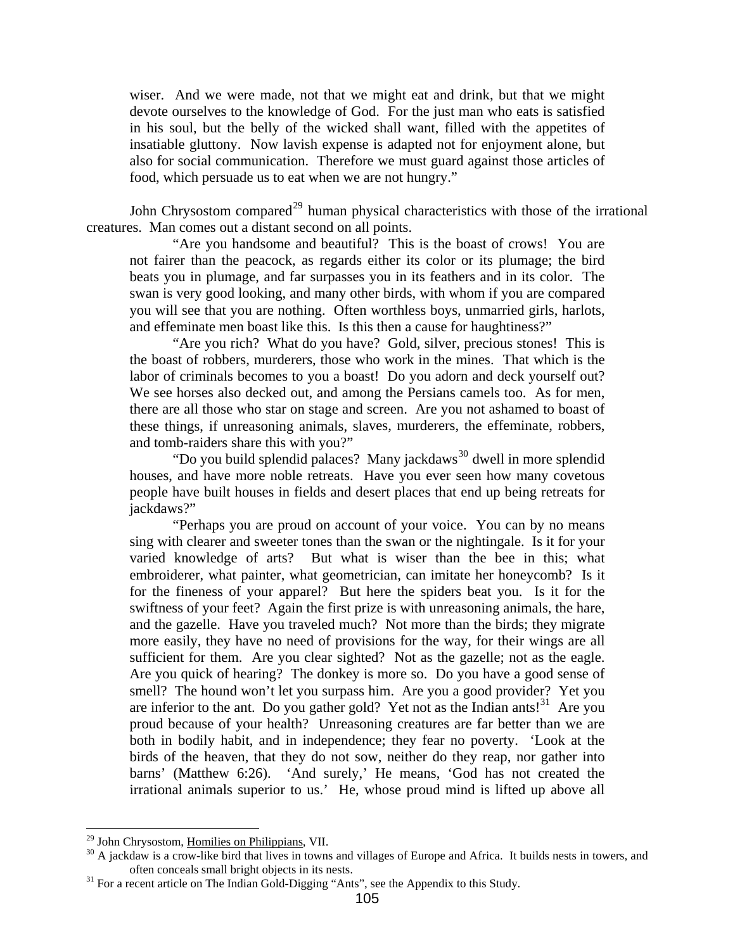also for social communication. Therefore we must guard against those articles of food, which persuade us to eat when we are not hungry." wiser. And we were made, not that we might eat and drink, but that we might devote ourselves to the knowledge of God. For the just man who eats is satisfied in his soul, but the belly of the wicked shall want, filled with the appetites of insatiable gluttony. Now lavish expense is adapted not for enjoyment alone, but

John Chrysostom compared<sup>[29](#page-18-0)</sup> human physical characteristics with those of the irrational creatures. Man comes out a distant second on all points.

you will see that you are nothing. Often worthless boys, unmarried girls, harlots, and eff eminate men boast like this. Is this then a cause for haughtiness?" "Are you handsome and beautiful? This is the boast of crows! You are not fairer than the peacock, as regards either its color or its plumage; the bird beats you in plumage, and far surpasses you in its feathers and in its color. The swan is very good looking, and many other birds, with whom if you are compared

these things, if unreasoning animals, slaves, murderers, the effeminate, robbers, and tom b-raiders share this with you?" "Are you rich? What do you have? Gold, silver, precious stones! This is the boast of robbers, murderers, those who work in the mines. That which is the labor of criminals becomes to you a boast! Do you adorn and deck yourself out? We see horses also decked out, and among the Persians camels too. As for men, there are all those who star on stage and screen. Are you not ashamed to boast of

people have built houses in fields and desert places that end up being retreats for jackdaw s?" "Do you build splendid palaces? Many jackdaws<sup>[30](#page-18-1)</sup> dwell in more splendid houses, and have more noble retreats. Have you ever seen how many covetous

"Perhaps you are proud on account of your voice. You can by no means sing with clearer and sweeter tones than the swan or the nightingale. Is it for your varied knowledge of arts? But what is wiser than the bee in this; what embroiderer, what painter, what geometrician, can imitate her honeycomb? Is it for the fineness of your apparel? But here the spiders beat you. Is it for the swiftness of your feet? Again the first prize is with unreasoning animals, the hare, and the gazelle. Have you traveled much? Not more than the birds; they migrate more easily, they have no need of provisions for the way, for their wings are all sufficient for them. Are you clear sighted? Not as the gazelle; not as the eagle. Are you quick of hearing? The donkey is more so. Do you have a good sense of smell? The hound won't let you surpass him. Are you a good provider? Yet you are inferior to the ant. Do you gather gold? Yet not as the Indian ants!<sup>[31](#page-18-2)</sup> Are you proud because of your health? Unreasoning creatures are far better than we are both in bodily habit, and in independence; they fear no poverty. 'Look at the birds of the heaven, that they do not sow, neither do they reap, nor gather into barns' (Matthew 6:26). 'And surely,' He means, 'God has not created the irrational animals superior to us.' He, whose proud mind is lifted up above all

<span id="page-18-0"></span><sup>&</sup>lt;sup>29</sup> John Chrysostom, Homilies on Philippians, VII.

<span id="page-18-1"></span><sup>&</sup>lt;sup>30</sup> A jackdaw is a crow-like bird that lives in towns and villages of Europe and Africa. It builds nests in towers, and often conceals small bright objects in its nests.<br><sup>31</sup> For a recent article on The Indian Gold-Digging "Ants", see the Appendix to this Study.

<span id="page-18-2"></span>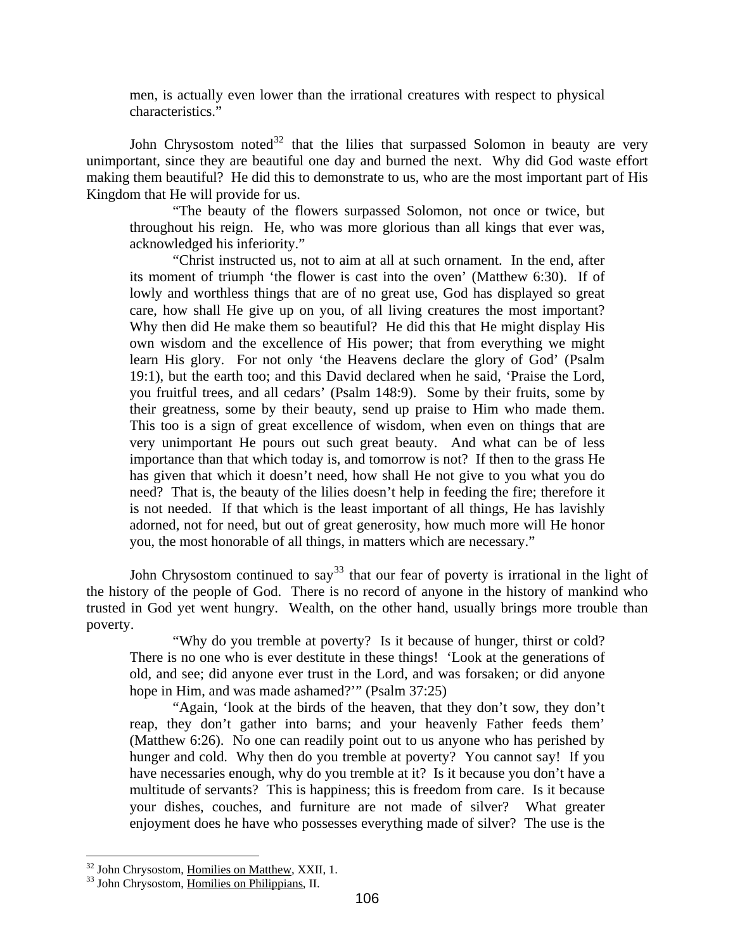men, is actually even lower than the irrational creatures with respect to physical characteristics."

unimportant, since they are beautiful one day and burned the next. Why did God waste effort making them beautiful? He did this to demonstrate to us, who are the most important part of His Kingdo m that He will provide for us. John Chrysostom noted<sup>[32](#page-19-0)</sup> that the lilies that surpassed Solomon in beauty are very

"The beauty of the flowers surpassed Solomon, not once or twice, but through out his reign. He, who was more glorious than all kings that ever was, acknowledged his inferiority."

is not needed. If that which is the least important of all things, He has lavishly adorned, not for need, but out of great generosity, how much more will He honor "Christ instructed us, not to aim at all at such ornament. In the end, after its moment of triumph 'the flower is cast into the oven' (Matthew 6:30). If of lowly and worthless things that are of no great use, God has displayed so great care, how shall He give up on you, of all living creatures the most important? Why then did He make them so beautiful? He did this that He might display His own wisdom and the excellence of His power; that from everything we might learn His glory. For not only 'the Heavens declare the glory of God' (Psalm 19:1), but the earth too; and this David declared when he said, 'Praise the Lord, you fruitful trees, and all cedars' (Psalm 148:9). Some by their fruits, some by their greatness, some by their beauty, send up praise to Him who made them. This too is a sign of great excellence of wisdom, when even on things that are very unimportant He pours out such great beauty. And what can be of less importance than that which today is, and tomorrow is not? If then to the grass He has given that which it doesn't need, how shall He not give to you what you do need? That is, the beauty of the lilies doesn't help in feeding the fire; therefore it you, the most honorable of all things, in matters which are necessary."

John Chrysostom continued to say<sup>[33](#page-19-1)</sup> that our fear of poverty is irrational in the light of the history of the people of God. There is no record of anyone in the history of mankind who trusted in God yet went hungry. Wealth, on the other hand, usually brings more trouble than poverty .

"Why do you tremble at poverty? Is it because of hunger, thirst or cold? There is no one who is ever destitute in these things! 'Look at the generations of old, and see; did anyone ever trust in the Lord, and was forsaken; or did anyone hope in Him, and was made ashamed?"" (Psalm 37:25)

"Again, 'look at the birds of the heaven, that they don't sow, they don't reap, they don't gather into barns; and your heavenly Father feeds them' (Matthew 6:26). No one can readily point out to us anyone who has perished by hunger and cold. Why then do you tremble at poverty? You cannot say! If you have necessaries enough, why do you tremble at it? Is it because you don't have a multitude of servants? This is happiness; this is freedom from care. Is it because your dishes, couches, and furniture are not made of silver? What greater enjoyment does he have who possesses everything made of silver? The use is the

<span id="page-19-0"></span><sup>&</sup>lt;sup>32</sup> John Chrysostom, Homilies on Matthew, XXII, 1.

<span id="page-19-1"></span><sup>&</sup>lt;sup>33</sup> John Chrysostom, Homilies on Philippians, II.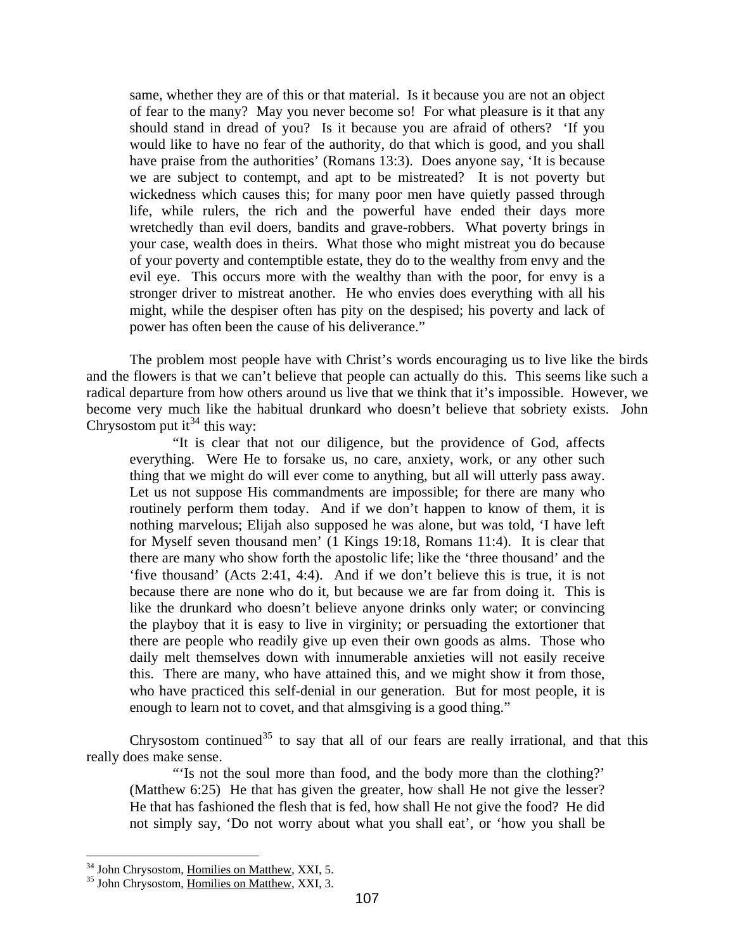evil eye. This occurs more with the wealthy than with the poor, for envy is a stronger driver to mistreat another. He who envies does everything with all his same, whether they are of this or that material. Is it because you are not an object of fear to the many? May you never become so! For what pleasure is it that any should stand in dread of you? Is it because you are afraid of others? 'If you would like to have no fear of the authority, do that which is good, and you shall have praise from the authorities' (Romans 13:3). Does anyone say, 'It is because we are subject to contempt, and apt to be mistreated? It is not poverty but wickedness which causes this; for many poor men have quietly passed through life, while rulers, the rich and the powerful have ended their days more wretchedly than evil doers, bandits and grave-robbers. What poverty brings in your case, wealth does in theirs. What those who might mistreat you do because of your poverty and contemptible estate, they do to the wealthy from envy and the might, while the despiser often has pity on the despised; his poverty and lack of power has often been the cause of his deliverance."

and the flowers is that we can't believe that people can actually do this. This seems like such a radical departure from how others around us live that we think that it's impossible. However, we become very much like the habitual drunkard who doesn't believe that sobriety exists. John Chrysostom put it<sup>34</sup> this way: The problem most people have with Christ's words encouraging us to live like the birds

daily melt themselves down with innumerable anxieties will not easily receive this. There are many, who have attained this, and we might show it from those, enough to learn not to covet, and that almsgiving is a good thing." "It is clear that not our diligence, but the providence of God, affects everything. Were He to forsake us, no care, anxiety, work, or any other such thing that we might do will ever come to anything, but all will utterly pass away. Let us not suppose His commandments are impossible; for there are many who routinely perform them today. And if we don't happen to know of them, it is nothing marvelous; Elijah also supposed he was alone, but was told, 'I have left for Myself seven thousand men' (1 Kings 19:18, Romans 11:4). It is clear that there are many who show forth the apostolic life; like the 'three thousand' and the 'five thousand' (Acts 2:41, 4:4). And if we don't believe this is true, it is not because there are none who do it, but because we are far from doing it. This is like the drunkard who doesn't believe anyone drinks only water; or convincing the playboy that it is easy to live in virginity; or persuading the extortioner that there are people who readily give up even their own goods as alms. Those who who have practiced this self-denial in our generation. But for most people, it is

Chrysostom continued<sup>35</sup> to say that all of our fears are really irrational, and that this really d oes make sense.

He that has fashioned the flesh that is fed, how shall He not give the food? He did not simply say, 'Do not worry about what you shall eat', or 'how you shall be "'Is not the soul more than food, and the body more than the clothing?' (Matthew 6:25) He that has given the greater, how shall He not give the lesser?

<sup>&</sup>lt;sup>34</sup> John Chrysostom, Homilies on Matthew, XXI, 5.

<sup>&</sup>lt;sup>35</sup> John Chrysostom, Homilies on Matthew, XXI, 3.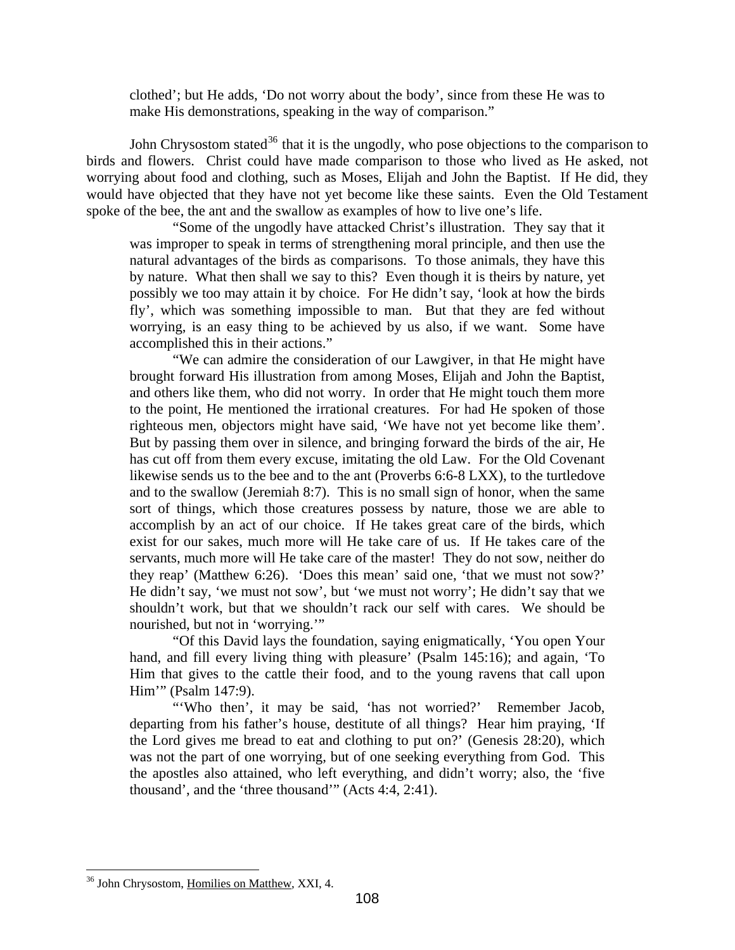clothed'; but He adds, 'Do not worry about the body', since from these He was to make His demonstrations, speaking in the way of comparison."

birds and flowers. Christ could have made comparison to those who lived as He asked, not worrying about food and clothing, such as Moses, Elijah and John the Baptist. If He did, they would have objected that they have not yet become like these saints. Even the Old Testament spoke o f the bee, the ant and the swallow as examples of how to live one's life. John Chrysostom stated<sup>[36](#page-21-0)</sup> that it is the ungodly, who pose objections to the comparison to

possibly we too may attain it by choice. For He didn't say, 'look at how the birds fly', w hich was something impossible to man. But that they are fed without "Some of the ungodly have attacked Christ's illustration. They say that it was improper to speak in terms of strengthening moral principle, and then use the natural advantages of the birds as comparisons. To those animals, they have this by nature. What then shall we say to this? Even though it is theirs by nature, yet worrying, is an easy thing to be achieved by us also, if we want. Some have accomplished this in their actions."

they reap' (Matthew 6:26). 'Does this mean' said one, 'that we must not sow?' He didn 't say, 'we must not sow', but 'we must not worry'; He didn't say that we "We can admire the consideration of our Lawgiver, in that He might have brought forward His illustration from among Moses, Elijah and John the Baptist, and others like them, who did not worry. In order that He might touch them more to the point, He mentioned the irrational creatures. For had He spoken of those righteous men, objectors might have said, 'We have not yet become like them'. But by passing them over in silence, and bringing forward the birds of the air, He has cut off from them every excuse, imitating the old Law. For the Old Covenant likewise sends us to the bee and to the ant (Proverbs 6:6-8 LXX), to the turtledove and to the swallow (Jeremiah 8:7). This is no small sign of honor, when the same sort of things, which those creatures possess by nature, those we are able to accomplish by an act of our choice. If He takes great care of the birds, which exist for our sakes, much more will He take care of us. If He takes care of the servants, much more will He take care of the master! They do not sow, neither do shouldn't work, but that we shouldn't rack our self with cares. We should be nourished, but not in 'worrying.'"

"Of this David lays the foundation, saying enigmatically, 'You open Your hand, a nd fill every living thing with pleasure' (Psalm 145:16); and again, 'To Him that gives to the cattle their food, and to the young ravens that call upon Him'" (Psalm 147:9).

the Lord gives me bread to eat and clothing to put on?' (Genesis 28:20), which was not the part of one worrying, but of one seeking everything from God. This the apostles also attained, who left everything, and didn't worry; also, the 'five "'Who then', it may be said, 'has not worried?' Remember Jacob, departing from his father's house, destitute of all things? Hear him praying, 'If thousand', and the 'three thousand'" (Acts 4:4, 2:41).

<span id="page-21-0"></span><sup>&</sup>lt;sup>36</sup> John Chrysostom, Homilies on Matthew, XXI, 4.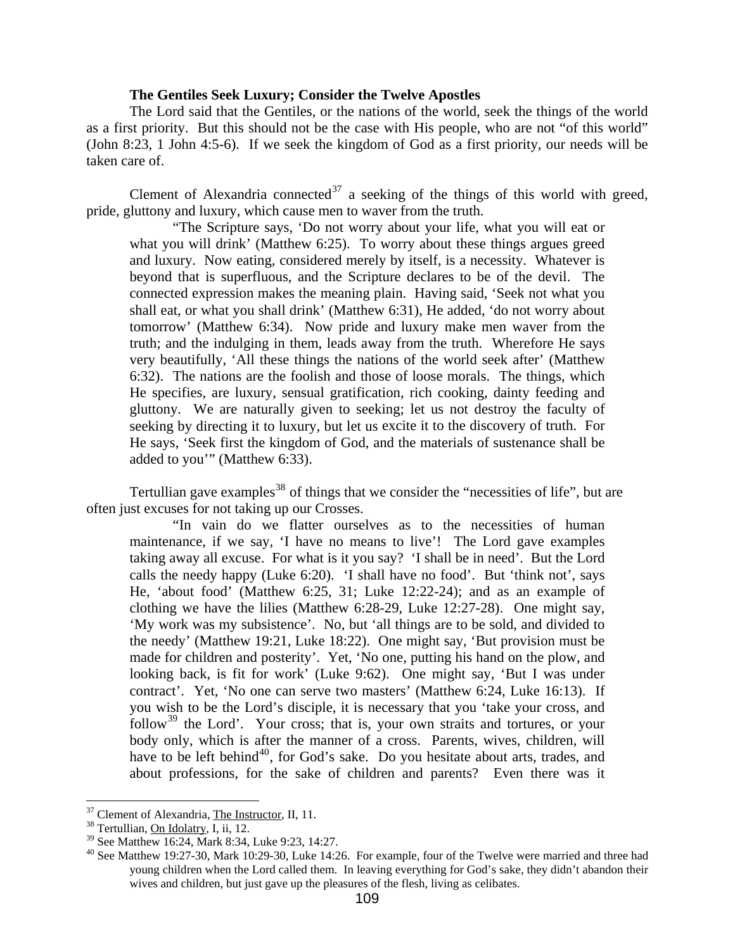## **he Gentiles Seek Luxury; Consider the Twelve Apostles T**

<span id="page-22-0"></span>as a first priority. But this should not be the case with His people, who are not "of this world" (John 8:23, 1 John 4:5-6). If we seek the kingdom of God as a first priority, our needs will be taken c are of. The Lord said that the Gentiles, or the nations of the world, seek the things of the world

Clement of Alexandria connected<sup>37</sup> a seeking of the things of this world with greed, pride, g luttony and luxury, which cause men to waver from the truth.

6:32). The nations are the foolish and those of loose morals. The things, which He specifies, are luxury, sensual gratification, rich cooking, dainty feeding and seeking by directing it to luxury, but let us excite it to the discovery of truth. For He say s, 'Seek first the kingdom of God, and the materials of sustenance shall be "The Scripture says, 'Do not worry about your life, what you will eat or what you will drink' (Matthew 6:25). To worry about these things argues greed and luxury. Now eating, considered merely by itself, is a necessity. Whatever is beyond that is superfluous, and the Scripture declares to be of the devil. The connected expression makes the meaning plain. Having said, 'Seek not what you shall eat, or what you shall drink' (Matthew 6:31), He added, 'do not worry about tomorrow' (Matthew 6:34). Now pride and luxury make men waver from the truth; and the indulging in them, leads away from the truth. Wherefore He says very beautifully, 'All these things the nations of the world seek after' (Matthew gluttony. We are naturally given to seeking; let us not destroy the faculty of added to you'" (Matthew 6:33).

Tertullian gave examples<sup>[38](#page-22-1)</sup> of things that we consider the "necessities of life", but are often ju st excuses for not taking up our Crosses.

have to be left behind<sup>40</sup>, for God's sake. Do you hesitate about arts, trades, and about professions, for the sake of children and parents? Even there was it "In vain do we flatter ourselves as to the necessities of human maintenance, if we say, 'I have no means to live'! The Lord gave examples taking away all excuse. For what is it you say? 'I shall be in need'. But the Lord calls the needy happy (Luke 6:20). 'I shall have no food'. But 'think not', says He, 'about food' (Matthew 6:25, 31; Luke 12:22-24); and as an example of clothing we have the lilies (Matthew 6:28-29, Luke 12:27-28). One might say, 'My work was my subsistence'. No, but 'all things are to be sold, and divided to the needy' (Matthew 19:21, Luke 18:22). One might say, 'But provision must be made for children and posterity'. Yet, 'No one, putting his hand on the plow, and looking back, is fit for work' (Luke 9:62). One might say, 'But I was under contract'. Yet, 'No one can serve two masters' (Matthew 6:24, Luke 16:13). If you wish to be the Lord's disciple, it is necessary that you 'take your cross, and follow<sup>[39](#page-22-2)</sup> the Lord'. Your cross; that is, your own straits and tortures, or your body only, which is after the manner of a cross. Parents, wives, children, will

 $37$  Clement of Alexandria, The Instructor, II, 11.  $38$  Tertullian, On Idolatry, I, ii, 12.

<span id="page-22-1"></span> $39$  See Matthew 16:24, Mark 8:34, Luke 9:23, 14:27.

<span id="page-22-2"></span> $40$  See Matthew 19:27-30, Mark 10:29-30, Luke 14:26. For example, four of the Twelve were married and three had young children when the Lord called them. In leaving everything for God's sake, they didn't abandon their wives and children, but just gave up the pleasures of the flesh, living as celibates.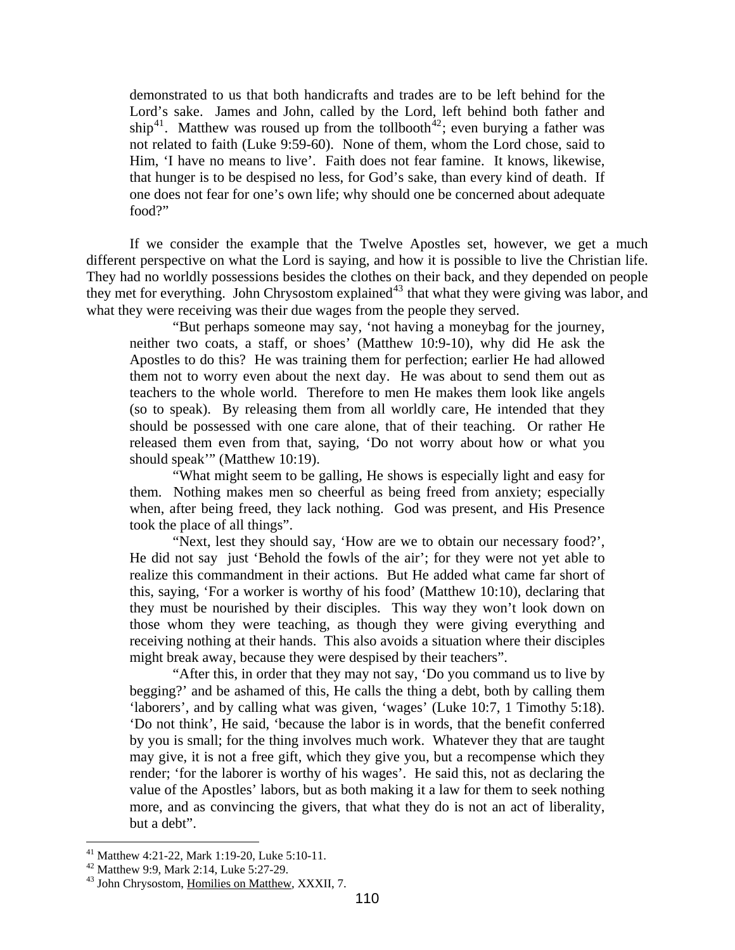not related to faith (Luke 9:59-60). None of them, whom the Lord chose, said to Him, 'I have no means to live'. Faith does not fear famine. It knows, likewise, demonstrated to us that both handicrafts and trades are to be left behind for the Lord's sake. James and John, called by the Lord, left behind both father and ship<sup>[41](#page-23-0)</sup>. Matthew was roused up from the tollbooth<sup>[42](#page-23-1)</sup>; even burying a father was that hunger is to be despised no less, for God's sake, than every kind of death. If one does not fear for one's own life; why should one be concerned about adequate food?"

If we consider the example that the Twelve Apostles set, however, we get a much different perspective on what the Lord is saying, and how it is possible to live the Christian life. They had no worldly possessions besides the clothes on their back, and they depended on people they met for everything. John Chrysostom explained<sup>43</sup> that what they were giving was labor, and what th ey were receiving was their due wages from the people they served.

teachers to the whole world. Therefore to men He makes them look like angels (so to speak). By releasing them from all worldly care, He intended that they should speak"" (Matthew 10:19). "But perhaps someone may say, 'not having a moneybag for the journey, neither two coats, a staff, or shoes' (Matthew 10:9-10), why did He ask the Apostles to do this? He was training them for perfection; earlier He had allowed them not to worry even about the next day. He was about to send them out as should be possessed with one care alone, that of their teaching. Or rather He released them even from that, saying, 'Do not worry about how or what you

"What might seem to be galling, He shows is especially light and easy for them. Nothing makes men so cheerful as being freed from anxiety; especially when, after being freed, they lack nothing. God was present, and His Presence took the place of all things".

this, saying, 'For a worker is worthy of his food' (Matthew 10:10), declaring that they m ust be nourished by their disciples. This way they won't look down on "Next, lest they should say, 'How are we to obtain our necessary food?', He did not say just 'Behold the fowls of the air'; for they were not yet able to realize this commandment in their actions. But He added what came far short of those whom they were teaching, as though they were giving everything and receiving nothing at their hands. This also avoids a situation where their disciples might break away, because they were despised by their teachers".

may give, it is not a free gift, which they give you, but a recompense which they render; 'for the laborer is worthy of his wages'. He said this, not as declaring the value of the Apostles' labors, but as both making it a law for them to seek nothing more, and as convincing the givers, that what they do is not an act of liberality, "After this, in order that they may not say, 'Do you command us to live by begging?' and be ashamed of this, He calls the thing a debt, both by calling them 'laborers', and by calling what was given, 'wages' (Luke 10:7, 1 Timothy 5:18). 'Do not think', He said, 'because the labor is in words, that the benefit conferred by you is small; for the thing involves much work. Whatever they that are taught but a debt".

<span id="page-23-0"></span><sup>41</sup> Matthew 4:21-22, Mark 1:19-20, Luke 5:10-11.

<span id="page-23-1"></span><sup>42</sup> Matthew 9:9, Mark 2:14, Luke 5:27-29.

<sup>43</sup> John Chrysostom, Homilies on Matthew, XXXII, 7.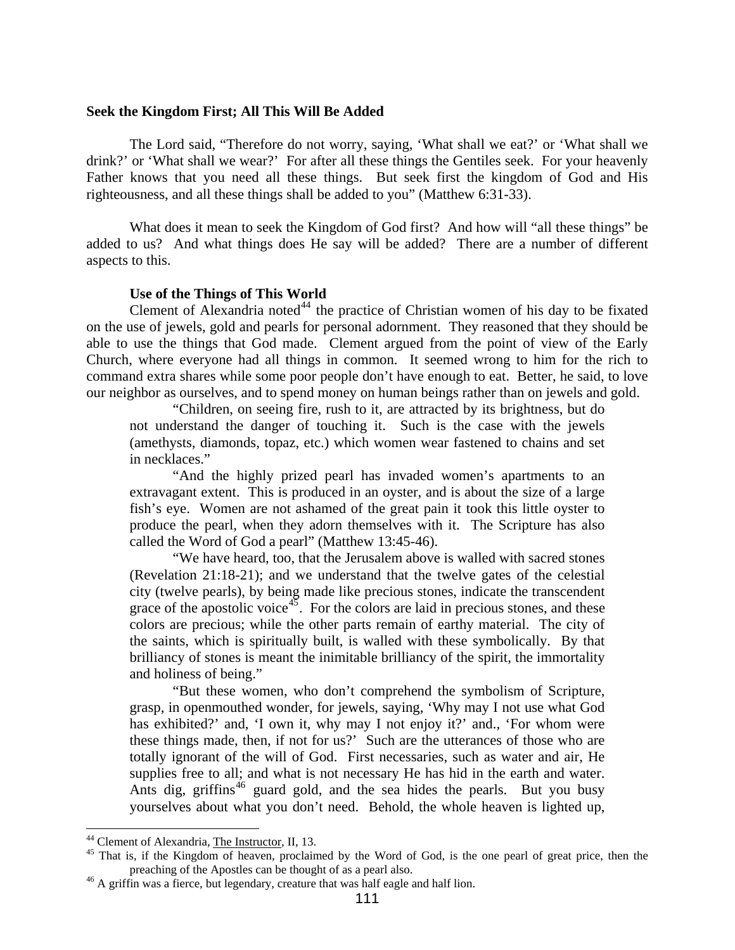#### <span id="page-24-0"></span>**Seek the Kingdom First; All This Will Be Added**

Father knows that you need all these things. But seek first the kingdom of God and His righteousness, and all these things shall be added to you" (Matthew 6:31-33). The Lord said, "Therefore do not worry, saying, 'What shall we eat?' or 'What shall we drink?' or 'What shall we wear?' For after all these things the Gentiles seek. For your heavenly

What does it mean to seek the Kingdom of God first? And how will "all these things" be added to us? And what things does He say will be added? There are a number of different aspects to this.

#### **Use of the Things of This World**

on the use of jewels, gold and pearls for personal adornment. They reasoned that they should be able to use the things that God made. Clement argued from the point of view of the Early Church, where everyone had all things in common. It seemed wrong to him for the rich to command extra shares while some poor people don't have enough to eat. Better, he said, to love our neighbor as ourselves, and to spend money on human beings rather than on jewels and gold. Clement of Alexandria noted $44$  the practice of Christian women of his day to be fixated

"Children, on seeing fire, rush to it, are attracted by its brightness, but do not understand the danger of touching it. Such is the case with the jewels (amethysts, diamonds, topaz, etc.) which women wear fastened to chains and set in necklaces."

"And the highly prized pearl has invaded women's apartments to an extravagant extent. This is produced in an oyster, and is about the size of a large fish's eye. Women are not ashamed of the great pain it took this little oyster to produce the pearl, when they adorn themselves with it. The Scripture has also called the Word of God a pearl" (Matthew 13:45-46).

city (twelve pearls), by being made like precious stones, indicate the transcendent grace of the apostolic voice<sup> $45$ </sup>. For the colors are laid in precious stones, and these "We have heard, too, that the Jerusalem above is walled with sacred stones (Revelation 21:18-21); and we understand that the twelve gates of the celestial colors are precious; while the other parts remain of earthy material. The city of the saints, which is spiritually built, is walled with these symbolically. By that brilliancy of stones is meant the inimitable brilliancy of the spirit, the immortality and holiness of being."

totally ignorant of the will of God. First necessaries, such as water and air, He supplies free to all; and what is not necessary He has hid in the earth and water. Ants dig, griffins<sup> $46$ </sup> guard gold, and the sea hides the pearls. But you busy yourselves about what you don't need. Behold, the whole heaven is lighted up, "But these women, who don't comprehend the symbolism of Scripture, grasp, in openmouthed wonder, for jewels, saying, 'Why may I not use what God has exhibited?' and, 'I own it, why may I not enjoy it?' and., 'For whom were these things made, then, if not for us?' Such are the utterances of those who are

<span id="page-24-1"></span><sup>&</sup>lt;sup>44</sup> Clement of Alexandria, The Instructor, II, 13.<br><sup>45</sup> That is, if the Kingdom of heaven, proclaimed by the Word of God, is the one pearl of great price, then the preaching of the Apostles can be thought of as a pearl also.

<span id="page-24-2"></span><sup>&</sup>lt;sup>46</sup> A griffin was a fierce, but legendary, creature that was half eagle and half lion.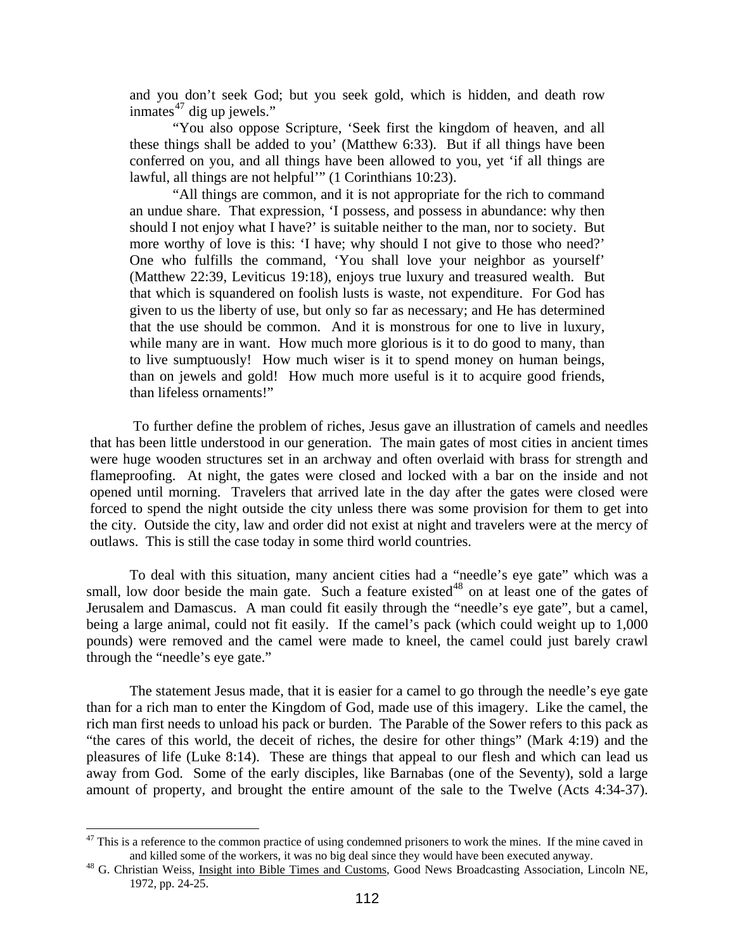and yo u don't seek God; but you seek gold, which is hidden, and death row inmates $47$  dig up jewels."

these things shall be added to you' (Matthew 6:33). But if all things have been conferr ed on you, and all things have been allowed to you, yet 'if all things are "You also oppose Scripture, 'Seek first the kingdom of heaven, and all lawful, all things are not helpful'" (1 Corinthians 10:23).

to live sumptuously! How much wiser is it to spend money on human beings, than on jewels and gold! How much more useful is it to acquire good friends, "All things are common, and it is not appropriate for the rich to command an undue share. That expression, 'I possess, and possess in abundance: why then should I not enjoy what I have?' is suitable neither to the man, nor to society. But more worthy of love is this: 'I have; why should I not give to those who need?' One who fulfills the command, 'You shall love your neighbor as yourself' (Matthew 22:39, Leviticus 19:18), enjoys true luxury and treasured wealth. But that which is squandered on foolish lusts is waste, not expenditure. For God has given to us the liberty of use, but only so far as necessary; and He has determined that the use should be common. And it is monstrous for one to live in luxury, while many are in want. How much more glorious is it to do good to many, than than lifeless ornaments!"

forced to spend the night outside the city unless there was some provision for them to get into the city. Outside the city, law and order did not exist at night and travelers were at the mercy of outlaws. This is still the case today in some third world countries. To further define the problem of riches, Jesus gave an illustration of camels and needles that has been little understood in our generation. The main gates of most cities in ancient times were huge wooden structures set in an archway and often overlaid with brass for strength and flameproofing. At night, the gates were closed and locked with a bar on the inside and not opened until morning. Travelers that arrived late in the day after the gates were closed were

being a large animal, could not fit easily. If the camel's pack (which could weight up to 1,000 pounds) were removed and the camel were made to kneel, the camel could just barely crawl To deal with this situation, many ancient cities had a "needle's eye gate" which was a small, low door beside the main gate. Such a feature existed<sup>[48](#page-25-0)</sup> on at least one of the gates of Jerusalem and Damascus. A man could fit easily through the "needle's eye gate", but a camel, through the "needle's eye gate."

amount of property, and brought the entire amount of the sale to the Twelve (Acts 4:34-37). The statement Jesus made, that it is easier for a camel to go through the needle's eye gate than for a rich man to enter the Kingdom of God, made use of this imagery. Like the camel, the rich man first needs to unload his pack or burden. The Parable of the Sower refers to this pack as "the cares of this world, the deceit of riches, the desire for other things" (Mark 4:19) and the pleasures of life (Luke 8:14). These are things that appeal to our flesh and which can lead us away from God. Some of the early disciples, like Barnabas (one of the Seventy), sold a large

1

 $47$  This is a reference to the common practice of using condemned prisoners to work the mines. If the mine caved in and killed some of the workers, it was no big deal since they would have been executed anyway.<br><sup>48</sup> G. Christian Weiss, <u>Insight into Bible Times and Customs</u>, Good News Broadcasting Association, Lincoln NE,

<span id="page-25-0"></span><sup>1972,</sup> pp. 24-25.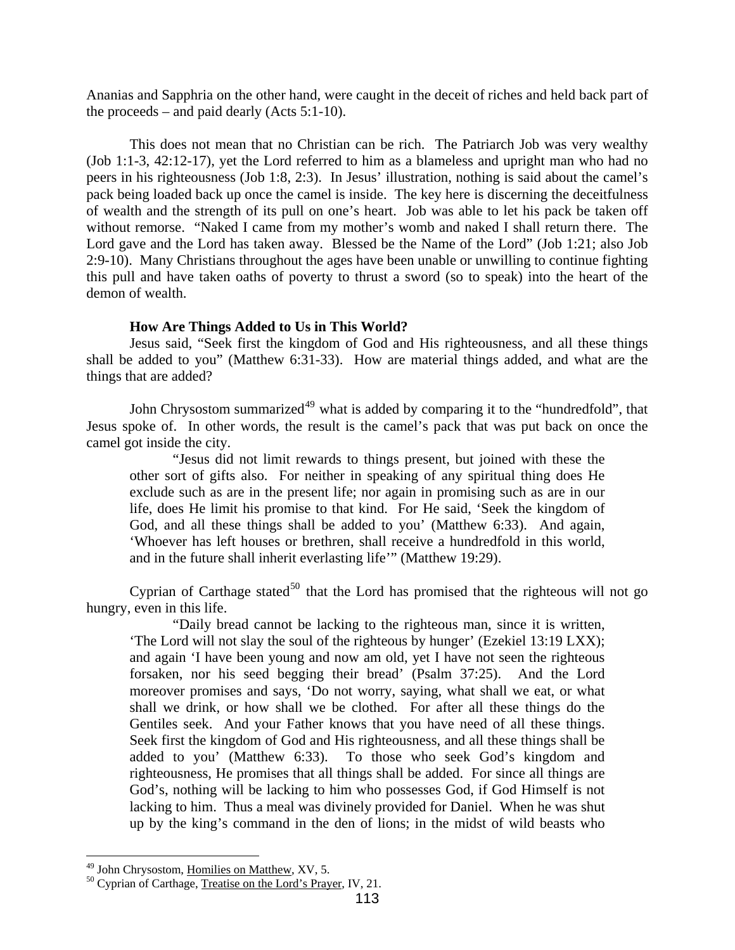<span id="page-26-0"></span>Ananias and Sapphria on the other hand, were caught in the deceit of riches and held back part of the proceeds – and paid dearly (Acts 5:1-10).

Lord gave and the Lord has taken away. Blessed be the Name of the Lord" (Job 1:21; also Job 2:9-10). Many Christians throughout the ages have been unable or unwilling to continue fighting this pull and have taken oaths of poverty to thrust a sword (so to speak) into the heart of the demon of wealth. This does not mean that no Christian can be rich. The Patriarch Job was very wealthy (Job 1:1-3, 42:12-17), yet the Lord referred to him as a blameless and upright man who had no peers in his righteousness (Job 1:8, 2:3). In Jesus' illustration, nothing is said about the camel's pack being loaded back up once the camel is inside. The key here is discerning the deceitfulness of wealth and the strength of its pull on one's heart. Job was able to let his pack be taken off without remorse. "Naked I came from my mother's womb and naked I shall return there. The

## How Are Things Added to Us in This World?

Jesus said, "Seek first the kingdom of God and His righteousness, and all these things shall b e added to you" (Matthew 6:31-33). How are material things added, and what are the things that are added?

John Chrysostom summarized<sup>49</sup> what is added by comparing it to the "hundredfold", that Jesus spoke of. In other words, the result is the camel's pack that was put back on once the camel g ot inside the city.

life, does He limit his promise to that kind. For He said, 'Seek the kingdom of God, and all these things shall be added to you' (Matthew 6:33). And again, and in the future shall inherit everlasting life'" (Matthew 19:29). "Jesus did not limit rewards to things present, but joined with these the other sort of gifts also. For neither in speaking of any spiritual thing does He exclude such as are in the present life; nor again in promising such as are in our 'Whoever has left houses or brethren, shall receive a hundredfold in this world,

Cyprian of Carthage stated<sup>[50](#page-27-0)</sup> that the Lord has promised that the righteous will not go hungry , even in this life.

lacking to him. Thus a meal was divinely provided for Daniel. When he was shut up by the king's command in the den of lions; in the midst of wild beasts who "Daily bread cannot be lacking to the righteous man, since it is written, 'The Lord will not slay the soul of the righteous by hunger' (Ezekiel 13:19 LXX); and again 'I have been young and now am old, yet I have not seen the righteous forsaken, nor his seed begging their bread' (Psalm 37:25). And the Lord moreover promises and says, 'Do not worry, saying, what shall we eat, or what shall we drink, or how shall we be clothed. For after all these things do the Gentiles seek. And your Father knows that you have need of all these things. Seek first the kingdom of God and His righteousness, and all these things shall be added to you' (Matthew 6:33). To those who seek God's kingdom and righteousness, He promises that all things shall be added. For since all things are God's, nothing will be lacking to him who possesses God, if God Himself is not

<sup>&</sup>lt;sup>49</sup> John Chrysostom, Homilies on Matthew, XV, 5.

 $10^{50}$  Cyprian of Carthage, Treatise on the Lord's Prayer, IV, 21.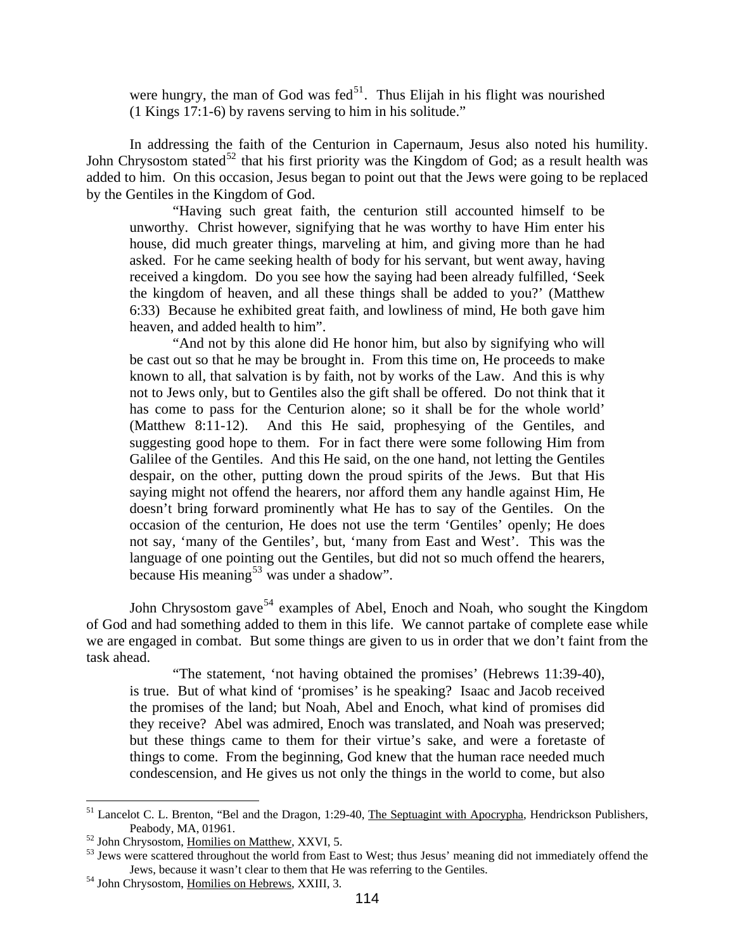were hungry, the man of God was fed $51$ . Thus Elijah in his flight was nourished (1 Kings 17:1-6) by ravens serving to him in his solitude."

John Chrysostom stated<sup>[52](#page-27-1)</sup> that his first priority was the Kingdom of God; as a result health was added to him. On this occasion, Jesus began to point out that the Jews were going to be replaced by the G entiles in the Kingdom of God. In addressing the faith of the Centurion in Capernaum, Jesus also noted his humility.

the kingdom of heaven, and all these things shall be added to you?' (Matthew 6:33) B ecause he exhibited great faith, and lowliness of mind, He both gave him "Having such great faith, the centurion still accounted himself to be unworthy. Christ however, signifying that he was worthy to have Him enter his house, did much greater things, marveling at him, and giving more than he had asked. For he came seeking health of body for his servant, but went away, having received a kingdom. Do you see how the saying had been already fulfilled, 'Seek heaven, and added health to him".

not say, 'many of the Gentiles', but, 'many from East and West'. This was the language of one pointing out the Gentiles, but did not so much offend the hearers, "And not by this alone did He honor him, but also by signifying who will be cast out so that he may be brought in. From this time on, He proceeds to make known to all, that salvation is by faith, not by works of the Law. And this is why not to Jews only, but to Gentiles also the gift shall be offered. Do not think that it has come to pass for the Centurion alone; so it shall be for the whole world' (Matthew 8:11-12). And this He said, prophesying of the Gentiles, and suggesting good hope to them. For in fact there were some following Him from Galilee of the Gentiles. And this He said, on the one hand, not letting the Gentiles despair, on the other, putting down the proud spirits of the Jews. But that His saying might not offend the hearers, nor afford them any handle against Him, He doesn't bring forward prominently what He has to say of the Gentiles. On the occasion of the centurion, He does not use the term 'Gentiles' openly; He does because His meaning<sup>[53](#page-27-2)</sup> was under a shadow".

of God and had something added to them in this life. We cannot partake of complete ease while we are engaged in combat. But some things are given to us in order that we don't faint from the task ah ead. John Chrysostom gave<sup>[54](#page-27-2)</sup> examples of Abel, Enoch and Noah, who sought the Kingdom

"The statement, 'not having obtained the promises' (Hebrews 11:39-40), is true. But of what kind of 'promises' is he speaking? Isaac and Jacob received the promises of the land; but Noah, Abel and Enoch, what kind of promises did they receive? Abel was admired, Enoch was translated, and Noah was preserved; but these things came to them for their virtue's sake, and were a foretaste of things to come. From the beginning, God knew that the human race needed much condescension, and He gives us not only the things in the world to come, but also

<u>.</u>

<span id="page-27-0"></span> $<sup>51</sup>$  Lancelot C. L. Brenton, "Bel and the Dragon, 1:29-40, The Septuagint with Apocrypha, Hendrickson Publishers,</sup> Peabody, MA, 01961.<br><sup>52</sup> John Chrysostom, <u>Homilies on Matthew</u>, XXVI, 5.<br><sup>53</sup> Jews were scattered throughout the world from East to West; thus Jesus' meaning did not immediately offend the

<span id="page-27-1"></span>

Jews, because it wasn't clear to them that He was referring to the Gentiles. 54 John Chrysostom, Homilies on Hebrews, XXIII, 3.

<span id="page-27-2"></span>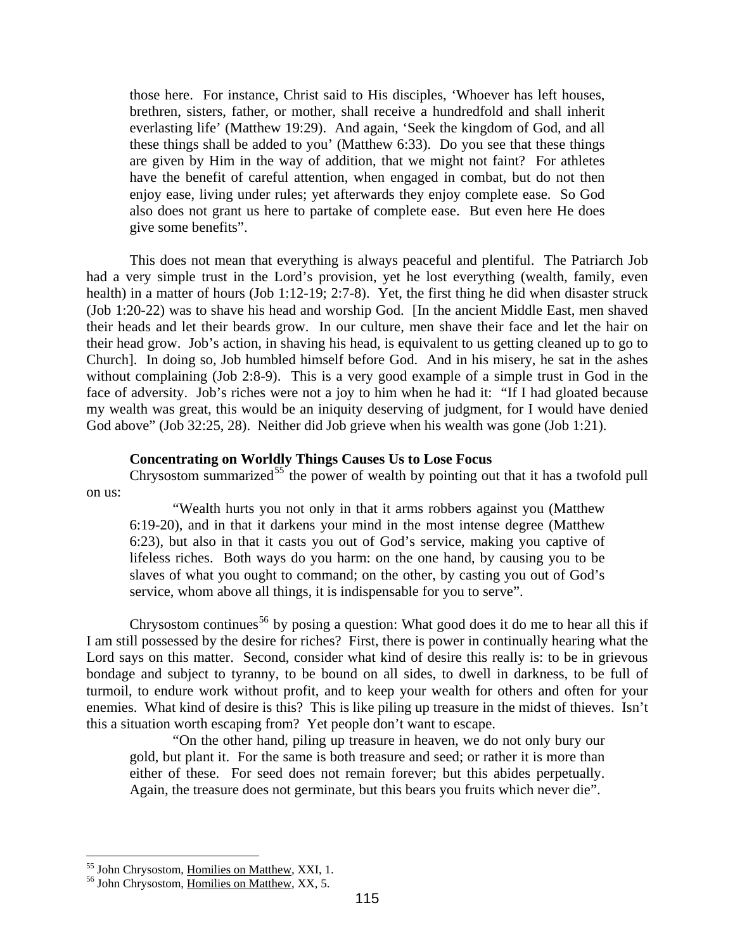<span id="page-28-0"></span>are given by Him in the way of addition, that we might not faint? For athletes have the benefit of careful attention, when engaged in combat, but do not then those here. For instance, Christ said to His disciples, 'Whoever has left houses, brethren, sisters, father, or mother, shall receive a hundredfold and shall inherit everlasting life' (Matthew 19:29). And again, 'Seek the kingdom of God, and all these things shall be added to you' (Matthew 6:33). Do you see that these things enjoy ease, living under rules; yet afterwards they enjoy complete ease. So God also does not grant us here to partake of complete ease. But even here He does give some benefits".

Church]. In doing so, Job humbled himself before God. And in his misery, he sat in the ashes without complaining (Job 2:8-9). This is a very good example of a simple trust in God in the face of adversity. Job's riches were not a joy to him when he had it: "If I had gloated because my we alth was great, this would be an iniquity deserving of judgment, for I would have denied God above" (Job 32:25, 28). Neither did Job grieve when his wealth was gone (Job 1:21). This does not mean that everything is always peaceful and plentiful. The Patriarch Job had a very simple trust in the Lord's provision, yet he lost everything (wealth, family, even health) in a matter of hours (Job 1:12-19; 2:7-8). Yet, the first thing he did when disaster struck (Job 1:20-22) was to shave his head and worship God. [In the ancient Middle East, men shaved their heads and let their beards grow. In our culture, men shave their face and let the hair on their head grow. Job's action, in shaving his head, is equivalent to us getting cleaned up to go to

## **Concentrating on Worldly Things Causes Us to Lose Focus**

Chrysostom summarized<sup>55</sup> the power of wealth by pointing out that it has a twofold pull on us:

6:19-20), and in that it darkens your mind in the most intense degree (Matthew :23), but also in that it casts you out of God's service, making you captive of 6 "Wealth hurts you not only in that it arms robbers against you (Matthew lifeless riches. Both ways do you harm: on the one hand, by causing you to be slaves of what you ought to command; on the other, by casting you out of God's service, whom above all things, it is indispensable for you to serve".

Lord says on this matter. Second, consider what kind of desire this really is: to be in grievous bondage and subject to tyranny, to be bound on all sides, to dwell in darkness, to be full of turmoil, to endure work without profit, and to keep your wealth for others and often for your enemies. What kind of desire is this? This is like piling up treasure in the midst of thieves. Isn't this a s ituation worth escaping from? Yet people don't want to escape. Chrysostom continues<sup>[56](#page-28-1)</sup> by posing a question: What good does it do me to hear all this if I am still possessed by the desire for riches? First, there is power in continually hearing what the

"On the other hand, piling up treasure in heaven, we do not only bury our gold, but plant it. For the same is both treasure and seed; or rather it is more than either of these. For seed does not remain forever; but this abides perpetually. Again, the treasure does not germinate, but this bears you fruits which never die".

<sup>&</sup>lt;sup>55</sup> John Chrysostom, Homilies on Matthew, XXI, 1.

<span id="page-28-1"></span><sup>&</sup>lt;sup>56</sup> John Chrysostom, Homilies on Matthew, XX, 5.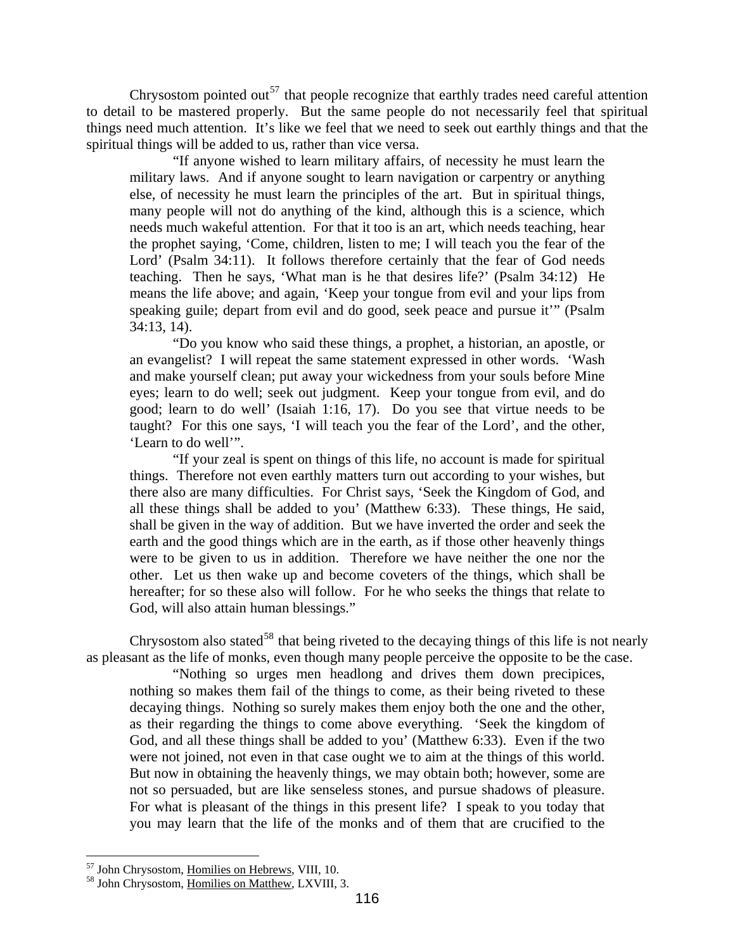Chrysostom pointed out<sup>57</sup> that people recognize that earthly trades need careful attention to detail to be mastered properly. But the same people do not necessarily feel that spiritual things need much attention. It's like we feel that we need to seek out earthly things and that the spiritua l things will be added to us, rather than vice versa.

Lord' (Psalm 34:11). It follows therefore certainly that the fear of God needs teachin g. Then he says, 'What man is he that desires life?' (Psalm 34:12) He "If anyone wished to learn military affairs, of necessity he must learn the military laws. And if anyone sought to learn navigation or carpentry or anything else, of necessity he must learn the principles of the art. But in spiritual things, many people will not do anything of the kind, although this is a science, which needs much wakeful attention. For that it too is an art, which needs teaching, hear the prophet saying, 'Come, children, listen to me; I will teach you the fear of the means the life above; and again, 'Keep your tongue from evil and your lips from speaking guile; depart from evil and do good, seek peace and pursue it'" (Psalm 34:13, 14).

and make yourself clean; put away your wickedness from your souls before Mine eyes; le arn to do well; seek out judgment. Keep your tongue from evil, and do "Do you know who said these things, a prophet, a historian, an apostle, or an evangelist? I will repeat the same statement expressed in other words. 'Wash good; learn to do well' (Isaiah 1:16, 17). Do you see that virtue needs to be taught? For this one says, 'I will teach you the fear of the Lord', and the other, 'Learn to do well'".

earth and the good things which are in the earth, as if those other heavenly things were to be given to us in addition. Therefore we have neither the one nor the God, w ill also attain human blessings." "If your zeal is spent on things of this life, no account is made for spiritual things. Therefore not even earthly matters turn out according to your wishes, but there also are many difficulties. For Christ says, 'Seek the Kingdom of God, and all these things shall be added to you' (Matthew 6:33). These things, He said, shall be given in the way of addition. But we have inverted the order and seek the other. Let us then wake up and become coveters of the things, which shall be hereafter; for so these also will follow. For he who seeks the things that relate to

Chrysostom also stated<sup>58</sup> that being riveted to the decaying things of this life is not nearly as pleasant as the life of monks, even though many people perceive the opposite to be the case.

not so persuaded, but are like senseless stones, and pursue shadows of pleasure. For what is pleasant of the things in this present life? I speak to you today that "Nothing so urges men headlong and drives them down precipices, nothing so makes them fail of the things to come, as their being riveted to these decaying things. Nothing so surely makes them enjoy both the one and the other, as their regarding the things to come above everything. 'Seek the kingdom of God, and all these things shall be added to you' (Matthew 6:33). Even if the two were not joined, not even in that case ought we to aim at the things of this world. But now in obtaining the heavenly things, we may obtain both; however, some are you may learn that the life of the monks and of them that are crucified to the

<sup>&</sup>lt;sup>57</sup> John Chrysostom, Homilies on Hebrews, VIII, 10.

<sup>&</sup>lt;sup>58</sup> John Chrysostom, Homilies on Matthew, LXVIII, 3.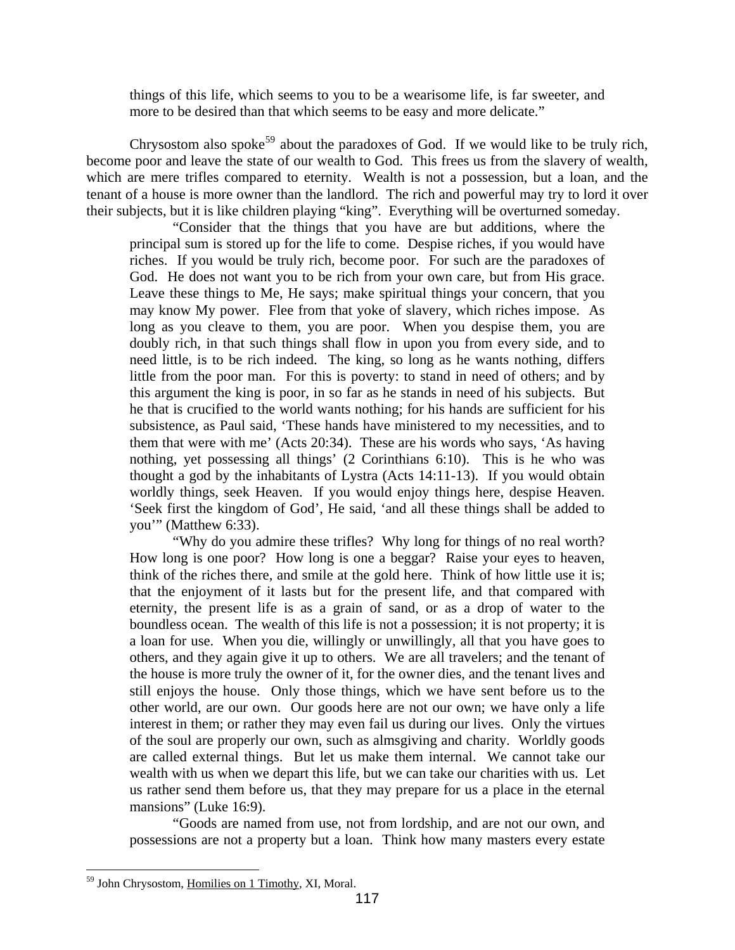things of this life, which seems to you to be a wearisome life, is far sweeter, and more to be desired than that which seems to be easy and more delicate."

Chrysostom also spoke<sup>59</sup> about the paradoxes of God. If we would like to be truly rich, become poor and leave the state of our wealth to God. This frees us from the slavery of wealth, which are mere trifles compared to eternity. Wealth is not a possession, but a loan, and the tenant of a house is more owner than the landlord. The rich and powerful may try to lord it over their subjects, but it is like children playing "king". Everything will be overturned someday.

them that were with me' (Acts 20:34). These are his words who says, 'As having nothing , yet possessing all things' (2 Corinthians 6:10). This is he who was "Consider that the things that you have are but additions, where the principal sum is stored up for the life to come. Despise riches, if you would have riches. If you would be truly rich, become poor. For such are the paradoxes of God. He does not want you to be rich from your own care, but from His grace. Leave these things to Me, He says; make spiritual things your concern, that you may know My power. Flee from that yoke of slavery, which riches impose. As long as you cleave to them, you are poor. When you despise them, you are doubly rich, in that such things shall flow in upon you from every side, and to need little, is to be rich indeed. The king, so long as he wants nothing, differs little from the poor man. For this is poverty: to stand in need of others; and by this argument the king is poor, in so far as he stands in need of his subjects. But he that is crucified to the world wants nothing; for his hands are sufficient for his subsistence, as Paul said, 'These hands have ministered to my necessities, and to thought a god by the inhabitants of Lystra (Acts 14:11-13). If you would obtain worldly things, seek Heaven. If you would enjoy things here, despise Heaven. 'Seek first the kingdom of God', He said, 'and all these things shall be added to you'" (Matthew 6:33).

interest in them; or rather they may even fail us during our lives. Only the virtues of the s oul are properly our own, such as almsgiving and charity. Worldly goods "Why do you admire these trifles? Why long for things of no real worth? How long is one poor? How long is one a beggar? Raise your eyes to heaven, think of the riches there, and smile at the gold here. Think of how little use it is; that the enjoyment of it lasts but for the present life, and that compared with eternity, the present life is as a grain of sand, or as a drop of water to the boundless ocean. The wealth of this life is not a possession; it is not property; it is a loan for use. When you die, willingly or unwillingly, all that you have goes to others, and they again give it up to others. We are all travelers; and the tenant of the house is more truly the owner of it, for the owner dies, and the tenant lives and still enjoys the house. Only those things, which we have sent before us to the other world, are our own. Our goods here are not our own; we have only a life are called external things. But let us make them internal. We cannot take our wealth with us when we depart this life, but we can take our charities with us. Let us rather send them before us, that they may prepare for us a place in the eternal mansions" (Luke 16:9).

"Goods are named from use, not from lordship, and are not our own, and possessions are not a property but a loan. Think how many masters every estate

 $\overline{a}$ 59 John Chrysostom, Homilies on 1 Timothy, XI, Moral.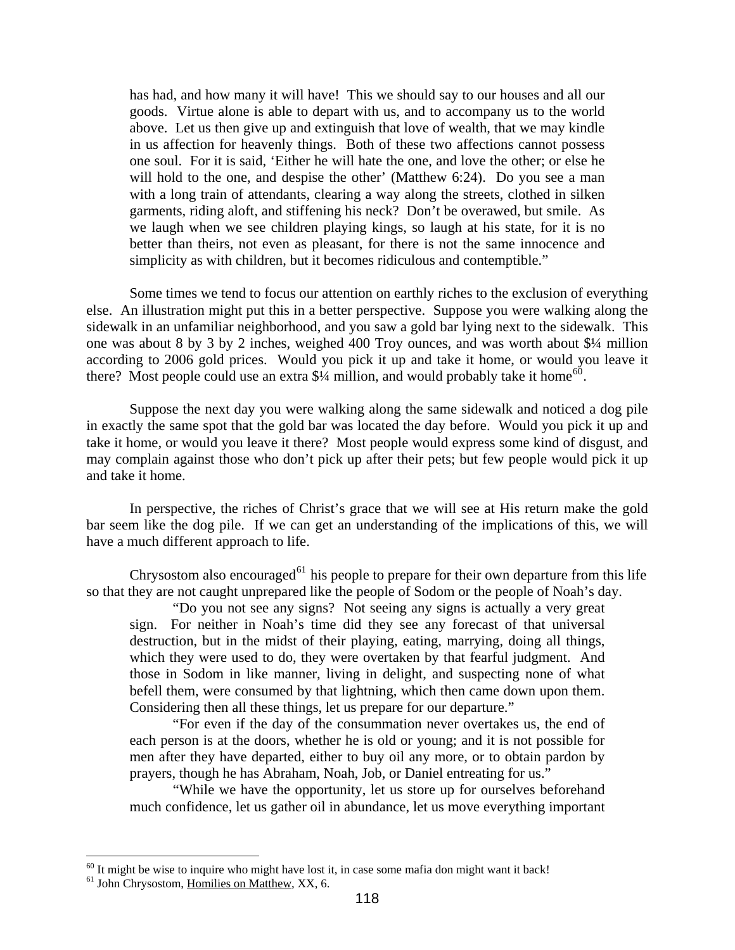will hold to the one, and despise the other' (Matthew 6:24). Do you see a man with a long train of attendants, clearing a way along the streets, clothed in silken has had, and how many it will have! This we should say to our houses and all our goods. Virtue alone is able to depart with us, and to accompany us to the world above. Let us then give up and extinguish that love of wealth, that we may kindle in us affection for heavenly things. Both of these two affections cannot possess one soul. For it is said, 'Either he will hate the one, and love the other; or else he garments, riding aloft, and stiffening his neck? Don't be overawed, but smile. As we laugh when we see children playing kings, so laugh at his state, for it is no better than theirs, not even as pleasant, for there is not the same innocence and simplicity as with children, but it becomes ridiculous and contemptible."

Some times we tend to focus our attention on earthly riches to the exclusion of everything else. An illustration might put this in a better perspective. Suppose you were walking along the sidewa lk in an unfamiliar neighborhood, and you saw a gold bar lying next to the sidewalk. This one was about 8 by 3 by 2 inches, weighed 400 Troy ounces, and was worth about \$¼ million according to 2006 gold prices. Would you pick it up and take it home, or would you leave it there? Most people could use an extra  $\frac{4}{4}$  million, and would probably take it home<sup>60</sup>.

Suppose the next day you were walking along the same sidewalk and noticed a dog pile in exac tly the same spot that the gold bar was located the day before. Would you pick it up and may complain against those who don't pick up after their pets; but few people would pick it up and take it home. take it home, or would you leave it there? Most people would express some kind of disgust, and

In perspective, the riches of Christ's grace that we will see at His return make the gold bar seem like the dog pile. If we can get an understanding of the implications of this, we will have a much different approach to life.

Chrysostom also encouraged<sup>61</sup> his people to prepare for their own departure from this life so that they are not caught unprepared like the people of Sodom or the people of Noah's day.

sign. For neither in Noah's time did they see any forecast of that universal destruc tion, but in the midst of their playing, eating, marrying, doing all things, befell them, were consumed by that lightning, which then came down upon them. Consid ering then all these things, let us prepare for our departure." "Do you not see any signs? Not seeing any signs is actually a very great which they were used to do, they were overtaken by that fearful judgment. And those in Sodom in like manner, living in delight, and suspecting none of what

men after they have departed, either to buy oil any more, or to obtain pardon by prayers, though he has Abraham, Noah, Job, or Daniel entreating for us." "For even if the day of the consummation never overtakes us, the end of each person is at the doors, whether he is old or young; and it is not possible for

"While we have the opportunity, let us store up for ourselves beforehand much confidence, let us gather oil in abundance, let us move everything important

 $60$  It might be wise to inquire who might have lost it, in case some mafia don might want it back!

<sup>&</sup>lt;sup>61</sup> John Chrysostom, Homilies on Matthew, XX, 6.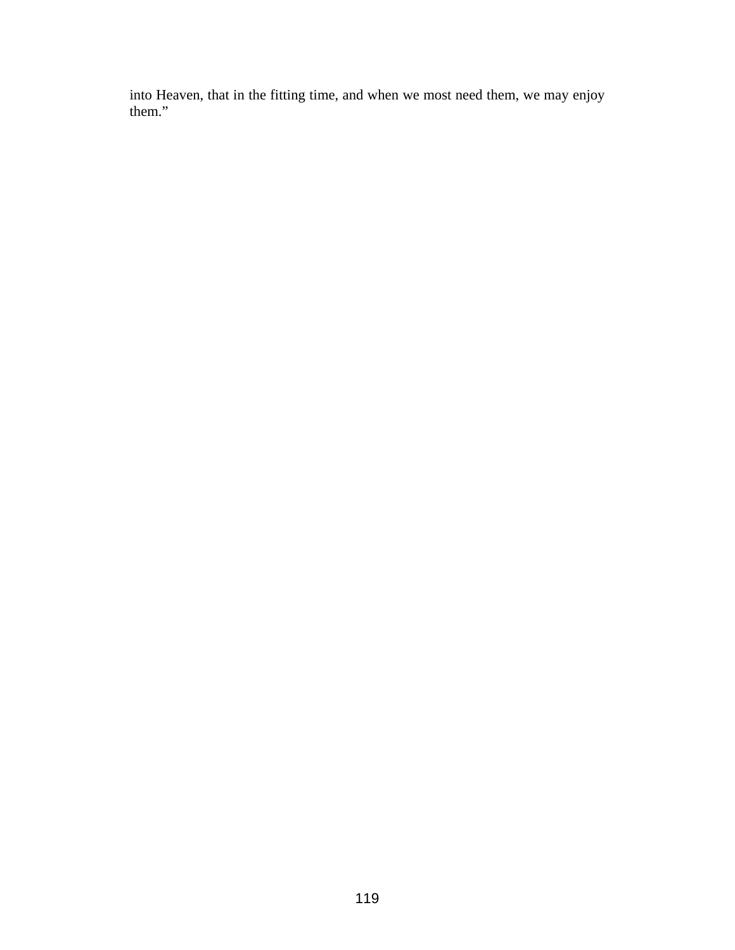time, and when we most need them, we may enjoy them." into Heaven, that in the fitting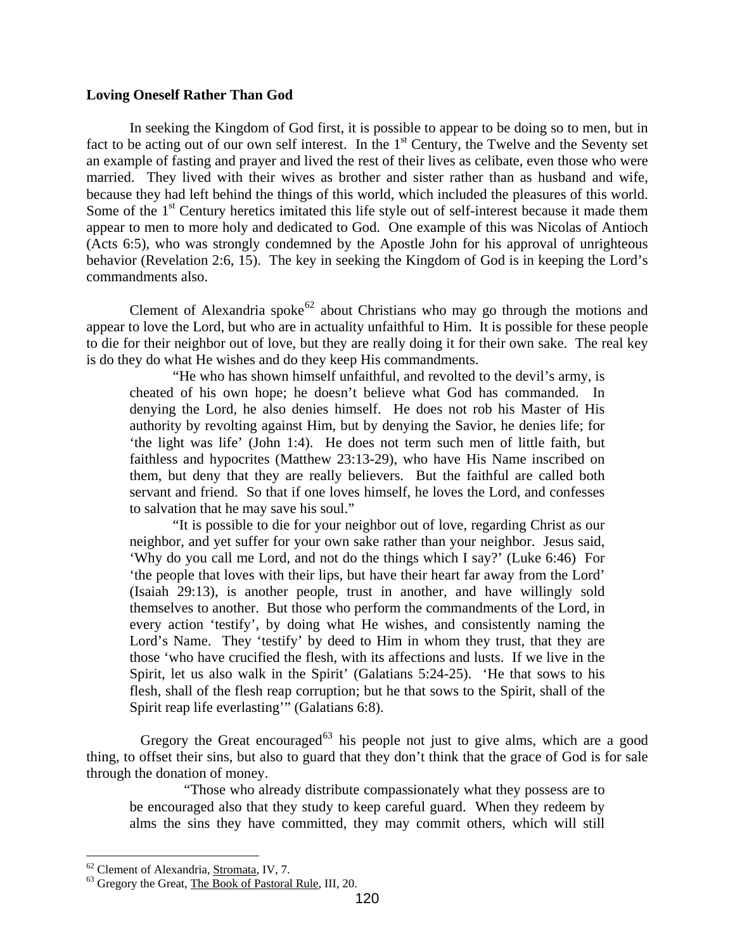## <span id="page-33-0"></span>**Loving Oneself Rather Than God**

In seeking the Kingdom of God first, it is possible to appear to be doing so to men, but in fact to be acting out of our own self interest. In the 1<sup>st</sup> Century, the Twelve and the Seventy set an example of fasting and prayer and lived the rest of their lives as celibate, even those who were married. They lived with their wives as brother and sister rather than as husband and wife, because they had left behind the things of this world, which included the pleasures of this world. Some of the 1<sup>st</sup> Century heretics imitated this life style out of self-interest because it made them appear to men to more holy and dedicated to God. One example of this was Nicolas of Antioch  $(Acts 6:5)$ , who was strongly condemned by the Apostle John for his approval of unrighteous behavio r (Revelation 2:6, 15). The key in seeking the Kingdom of God is in keeping the Lord's commandments also.

Clement of Alexandria spoke<sup>62</sup> about Christians who may go through the motions and appear to love the Lord, but who are in actuality unfaithful to Him. It is possible for these people to die f or their neighbor out of love, but they are really doing it for their own sake. The real key is do they do what He wishes and do they keep His commandments.

'the light was life' (John 1:4). He does not term such men of little faith, but faithles s and hypocrites (Matthew 23:13-29), who have His Name inscribed on "He who has shown himself unfaithful, and revolted to the devil's army, is cheated of his own hope; he doesn't believe what God has commanded. In denying the Lord, he also denies himself. He does not rob his Master of His authority by revolting against Him, but by denying the Savior, he denies life; for them, but deny that they are really believers. But the faithful are called both servant and friend. So that if one loves himself, he loves the Lord, and confesses to salvation that he may save his soul."

"It is possible to die for your neighbor out of love, regarding Christ as our neighbo r, and yet suffer for your own sake rather than your neighbor. Jesus said, every action 'testify', by doing what He wishes, and consistently naming the Lord's Name. They 'testify' by deed to Him in whom they trust, that they are 'Why do you call me Lord, and not do the things which I say?' (Luke 6:46) For 'the people that loves with their lips, but have their heart far away from the Lord' (Isaiah 29:13), is another people, trust in another, and have willingly sold themselves to another. But those who perform the commandments of the Lord, in those 'who have crucified the flesh, with its affections and lusts. If we live in the Spirit, let us also walk in the Spirit' (Galatians 5:24-25). 'He that sows to his flesh, shall of the flesh reap corruption; but he that sows to the Spirit, shall of the Spirit reap life everlasting'" (Galatians 6:8).

Gregory the Great encouraged<sup>63</sup> his people not just to give alms, which are a good thing, to offset their sins, but also to guard that they don't think that the grace of God is for sale through the donation of money.

"Those who already distribute compassionately what they possess are to be enco uraged also that they study to keep careful guard. When they redeem by alms the sins they have committed, they may commit others, which will still

1

 $^{62}$  Clement of Alexandria, <u>Stromata</u>, IV, 7.<br><sup>63</sup> Gregory the Great, The Book of Pastoral Rule, III, 20.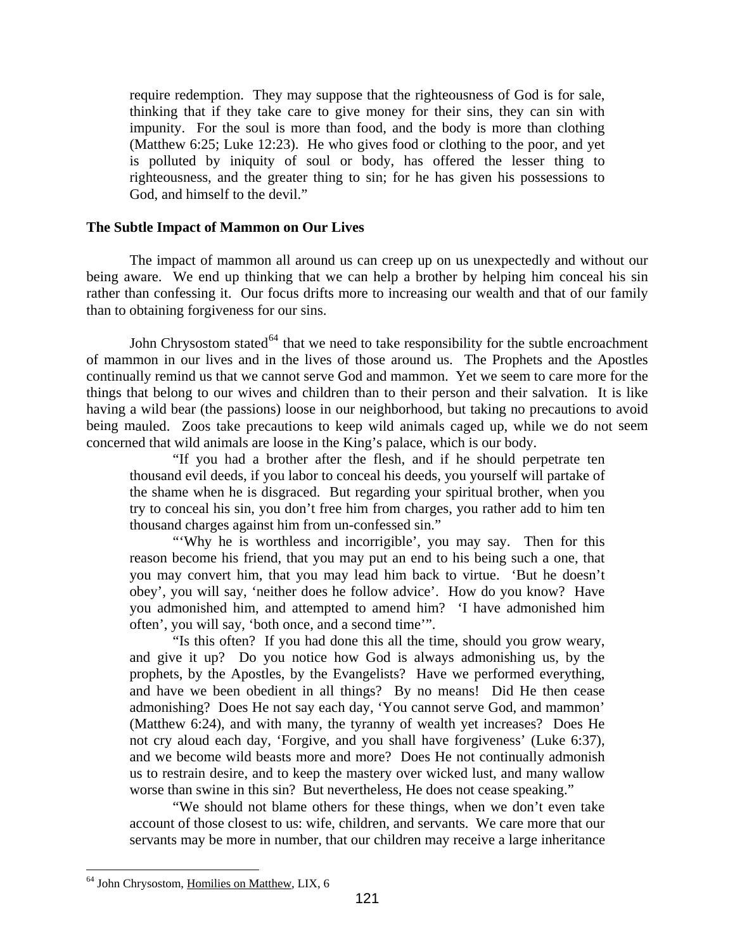<span id="page-34-0"></span>require redemption. They may suppose that the righteousness of God is for sale, thinking that if they take care to give money for their sins, they can sin with impunity. For the soul is more than food, and the body is more than clothing (Matthew 6:25; Luke 12:23). He who gives food or clothing to the poor, and yet is polluted by iniquity of soul or body, has offered the lesser thing to righteousness, and the greater thing to sin; for he has given his possessions to God, and himself to the devil."

## **The Subtle Im pact of Mammon on Our Lives**

The impact of mammon all around us can creep up on us unexpectedly and without our being aware. We end up thinking that we can help a brother by helping him conceal his sin rather than confessing it. Our focus drifts more to increasing our wealth and that of our family than to obtaining forgiveness for our sins.

John Chrysostom stated<sup>64</sup> that we need to take responsibility for the subtle encroachment of mammon in our lives and in the lives of those around us. The Prophets and the Apostles continually remind us that we cannot serve God and mammon. Yet we seem to care more for the things that belong to our wives and children than to their person and their salvation. It is like having a wild bear (the passions) loose in our neighborhood, but taking no precautions to avoid being mauled. Zoos take precautions to keep wild animals caged up, while we do not seem concern ed that wild animals are loose in the King's palace, which is our body.

thousand evil deeds, if you labor to conceal his deeds, you yourself will partake of the shame when he is disgraced. But regarding your spiritual brother, when you "If you had a brother after the flesh, and if he should perpetrate ten try to conceal his sin, you don't free him from charges, you rather add to him ten thousand charges against him from un-confessed sin."

obey', you will say, 'neither does he follow advice'. How do you know? Have "Why he is worthless and incorrigible', you may say. Then for this reason become his friend, that you may put an end to his being such a one, that you may convert him, that you may lead him back to virtue. 'But he doesn't you admonished him, and attempted to amend him? 'I have admonished him often', you will say, 'both once, and a second time'".

"Is this often? If you had done this all the time, should you grow weary, and give it up? Do you notice how God is always admonishing us, by the prophets, by the Apostles, by the Evangelists? Have we performed everything, and have we been obedient in all things? By no means! Did He then cease admonishing? Does He not say each day, 'You cannot serve God, and mammon' (Matthew 6:24), and with many, the tyranny of wealth yet increases? Does He not cry aloud each day, 'Forgive, and you shall have forgiveness' (Luke 6:37), and we become wild beasts more and more? Does He not continually admonish us to restrain desire, and to keep the mastery over wicked lust, and many wallow worse than swine in this sin? But nevertheless, He does not cease speaking."

"We should not blame others for these things, when we don't even take accoun t of those closest to us: wife, children, and servants. We care more that our servants may be more in number, that our children may receive a large inheritance

<sup>64</sup> John Chrysostom, Homilies on Matthew, LIX, 6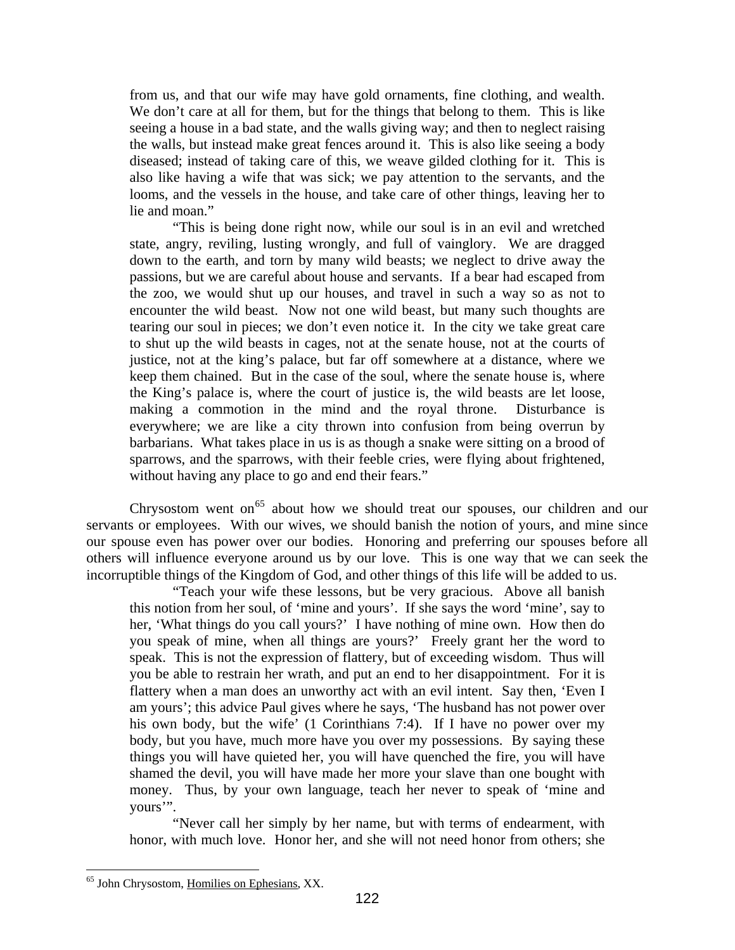from us, and that our wife may have gold ornaments, fine clothing, and wealth. We don't care at all for them, but for the things that belong to them. This is like seeing a house in a bad state, and the walls giving way; and then to neglect raising the walls, but instead make great fences around it. This is also like seeing a body diseased; instead of taking care of this, we weave gilded clothing for it. This is also like having a wife that was sick; we pay attention to the servants, and the looms, and the vessels in the house, and take care of other things, leaving her to lie and moan."

keep them chained. But in the case of the soul, where the senate house is, where the King's palace is, where the court of justice is, the wild beasts are let loose, making a commotion in the mind and the royal throne. Disturbance is everywhere; we are like a city thrown into confusion from being overrun by barbarians. What takes place in us is as though a snake were sitting on a brood of sparrows, and the sparrows, with their feeble cries, were flying about frightened, without having any place to go and end their fears." "This is being done right now, while our soul is in an evil and wretched state, angry, reviling, lusting wrongly, and full of vainglory. We are dragged down to the earth, and torn by many wild beasts; we neglect to drive away the passions, but we are careful about house and servants. If a bear had escaped from the zoo, we would shut up our houses, and travel in such a way so as not to encounter the wild beast. Now not one wild beast, but many such thoughts are tearing our soul in pieces; we don't even notice it. In the city we take great care to shut up the wild beasts in cages, not at the senate house, not at the courts of justice, not at the king's palace, but far off somewhere at a distance, where we

Chrysostom went on<sup>65</sup> about how we should treat our spouses, our children and our servants or employees. With our wives, we should banish the notion of yours, and mine since our spouse even has power over our bodies. Honoring and preferring our spouses before all others will influence everyone around us by our love. This is one way that we can seek the incorruptible things of the Kingdom of God, and other things of this life will be added to us.

"Teach your wife these lessons, but be very gracious. Above all banish this notion from her soul, of 'mine and yours'. If she says the word 'mine', say to her, 'What things do you call yours?' I have nothing of mine own. How then do you speak of mine, when all things are yours?' Freely grant her the word to speak. This is not the expression of flattery, but of exceeding wisdom. Thus will you be able to restrain her wrath, and put an end to her disappointment. For it is flattery when a man does an unworthy act with an evil intent. Say then, 'Even I am yours'; this advice Paul gives where he says, 'The husband has not power over his own body, but the wife' (1 Corinthians 7:4). If I have no power over my body, but you have, much more have you over my possessions. By saying these things you will have quieted her, you will have quenched the fire, you will have shamed the devil, you will have made her more your slave than one bought with money. Thus, by your own language, teach her never to speak of 'mine and yours'".

"Never call her simply by her name, but with terms of endearment, with honor, with much love. Honor her, and she will not need honor from others; she

<sup>65</sup> John Chrysostom, Homilies on Ephesians, XX.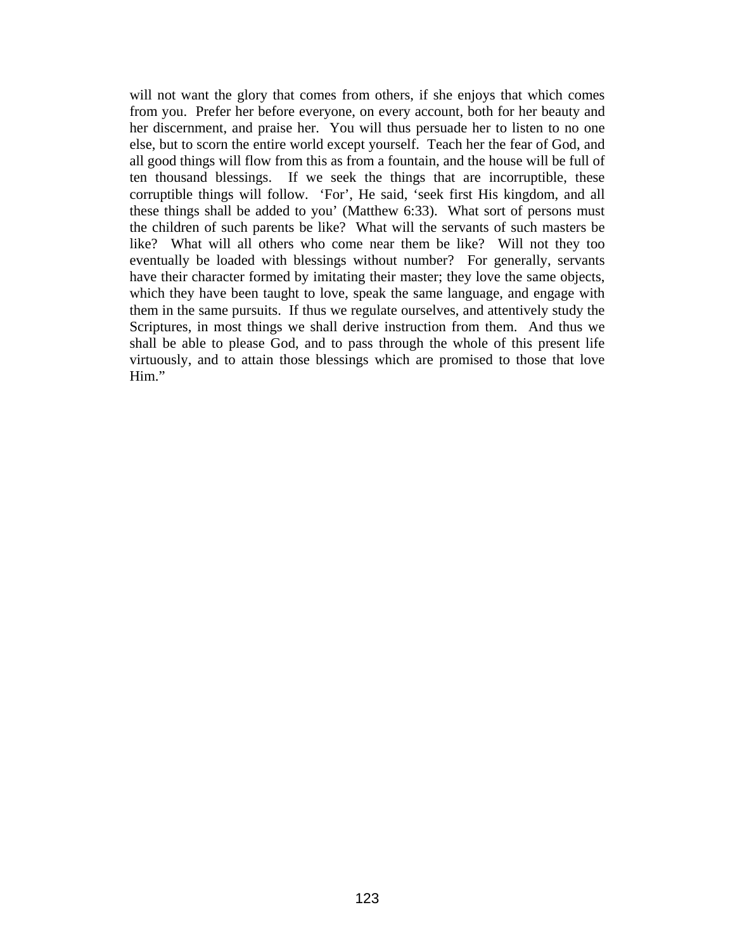will not want the glory that comes from others, if she enjoys that which comes from you. Prefer her before everyone, on every account, both for her beauty and her discernment, and praise her. You will thus persuade her to listen to no one else, but to scorn the entire world except yourself. Teach her the fear of God, and like? What will all others who come near them be like? Will not they too even tually be loaded with blessings without number? For generally, servants all good things will flow from this as from a fountain, and the house will be full of ten thousand blessings. If we seek the things that are incorruptible, these corruptible things will follow. 'For', He said, 'seek first His kingdom, and all these things shall be added to you' (Matthew 6:33). What sort of persons must the children of such parents be like? What will the servants of such masters be have their character formed by imitating their master; they love the same objects, which they have been taught to love, speak the same language, and engage with them in the same pursuits. If thus we regulate ourselves, and attentively study the Scriptures, in most things we shall derive instruction from them. And thus we shall be able to please God, and to pass through the whole of this present life virtuously, and to attain those blessings which are promised to those that love Him."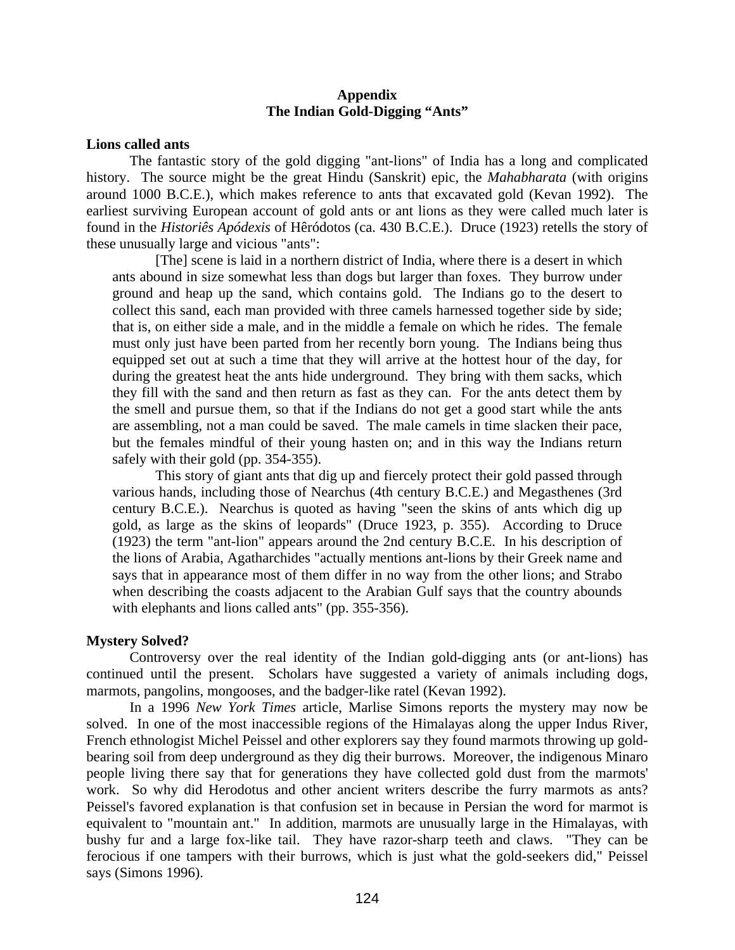## **Appendix The Indian Gold-Digging "Ants"**

## <span id="page-37-0"></span>**Lions called ants**

around 1000 B.C.E.), which makes reference to ants that excavated gold (Kevan 1992). The earliest surviving European account of gold ants or ant lions as they were called much later is The fantastic story of the gold digging "ant-lions" of India has a long and complicated history. The source might be the great Hindu (Sanskrit) epic, the *Mahabharata* (with origins found in the *Historiês Apódexis* of Hêródotos (ca. 430 B.C.E.). Druce (1923) retells the story of these unusually large and vicious "ants":

ant s abound in size somewhat less than dogs but larger than foxes. They burrow under gro und and heap up the sand, which contains gold. The Indians go to the desert to must only just have been parted from her recently born young. The Indians being thus equipped set out at such a time that they will arrive at the hottest hour of the day, for during the greatest heat the ants hide underground. They bring with them sacks, which they fill with the sand and then return as fast as they can. For the ants detect them by the smell and pursue them, so that if the Indians do not get a good start while the ants are assembling, not a man could be saved. The male camels in time slacken their pace, but the females mindful of their young hasten on; and in this way the Indians return safely with their gold (pp. 354-355). [The] scene is laid in a northern district of India, where there is a desert in which collect this sand, each man provided with three camels harnessed together side by side; that is, on either side a male, and in the middle a female on which he rides. The female

This story of giant ants that dig up and fiercely protect their gold passed through various hands, including those of Nearchus (4th century B.C.E.) and Megasthenes (3rd century B.C.E.). Nearchus is quoted as having "seen the skins of ants which dig up gold, as large as the skins of leopards" (Druce 1923, p. 355). According to Druce (1923) the term "ant-lion" appears around the 2nd century B.C.E. In his description of the lions of Arabia, Agatharchides "actually mentions ant-lions by their Greek name and says that in appearance most of them differ in no way from the other lions; and Strabo when describing the coasts adjacent to the Arabian Gulf says that the country abounds with elephants and lions called ants" (pp. 355-356).

#### **Mystery Solved?**

Controversy over the real identity of the Indian gold-digging ants (or ant-lions) has continued until the present. Scholars have suggested a variety of animals including dogs, marmots, pangolins, mongooses, and the badger-like ratel (Kevan 1992).

In a 1996 *New York Times* article, Marlise Simons reports the mystery may now be solved. In one of the most inaccessible regions of the Himalayas along the upper Indus River, French ethnologist Michel Peissel and other explorers say they found marmots throwing up goldbearing soil from deep underground as they dig their burrows. Moreover, the indigenous Minaro people living there say that for generations they have collected gold dust from the marmots' work. So why did Herodotus and other ancient writers describe the furry marmots as ants? Peissel's favored explanation is that confusion set in because in Persian the word for marmot is equivalent to "mountain ant." In addition, marmots are unusually large in the Himalayas, with bushy fur and a large fox-like tail. They have razor-sharp teeth and claws. "They can be ferocious if one tampers with their burrows, which is just what the gold-seekers did," Peissel says (Simons 1996).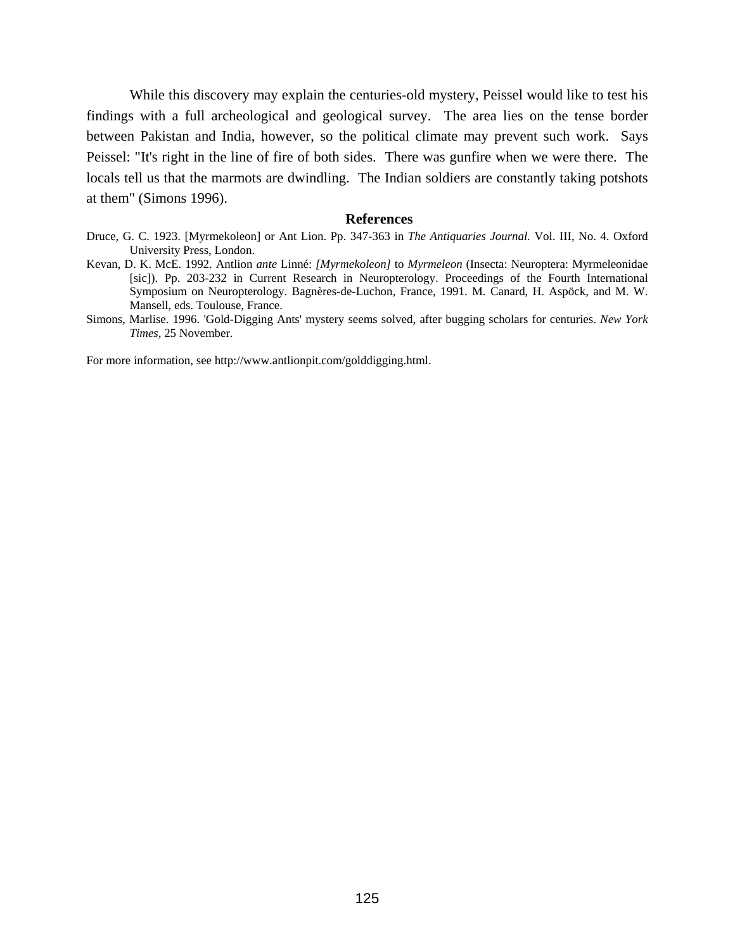While this discovery may explain the centuries-old mystery, Peissel would like to test his findings with a full archeological and geological survey. The area lies on the tense border between Pakistan and India, however, so the political climate may prevent suc h work. Says Peissel: "It's right in the line of fire of both sides. There was gunfir e when we were there. The locals tell us that the marmots are dwindling. The Indian soldiers are constantly taking potshots at them" (Simons 1996).

#### **References**

- Druce, G. C. 1923. [Myrmekoleon] or Ant Lion. Pp. 347-363 in *The Antiquaries Journal.* Vol. III, No. 4. Oxford University Press, London.
- Kevan, D. K. McE. 1992. Antlion *ante* Linné: *[Myrmekoleon]* to *Myrmeleon* (Insecta: Neuroptera: Myrmeleonidae [sic]). Pp. 203-232 in Current Research in Neuropterology. Proceedings of the Fourth International Symposium on Neuropterology. Bagnères-de-Luchon, France, 1991. M. Canard, H. Aspöck, and M. W. Mansell, eds. Toulouse, France.
- Simons, Marlise. 1996. 'Gold-Digging Ants' mystery seems solved, after bugging scholars for centuries. *New York Times,* 25 November.

For more information, see http://www.antlionpit.com/golddigging.html.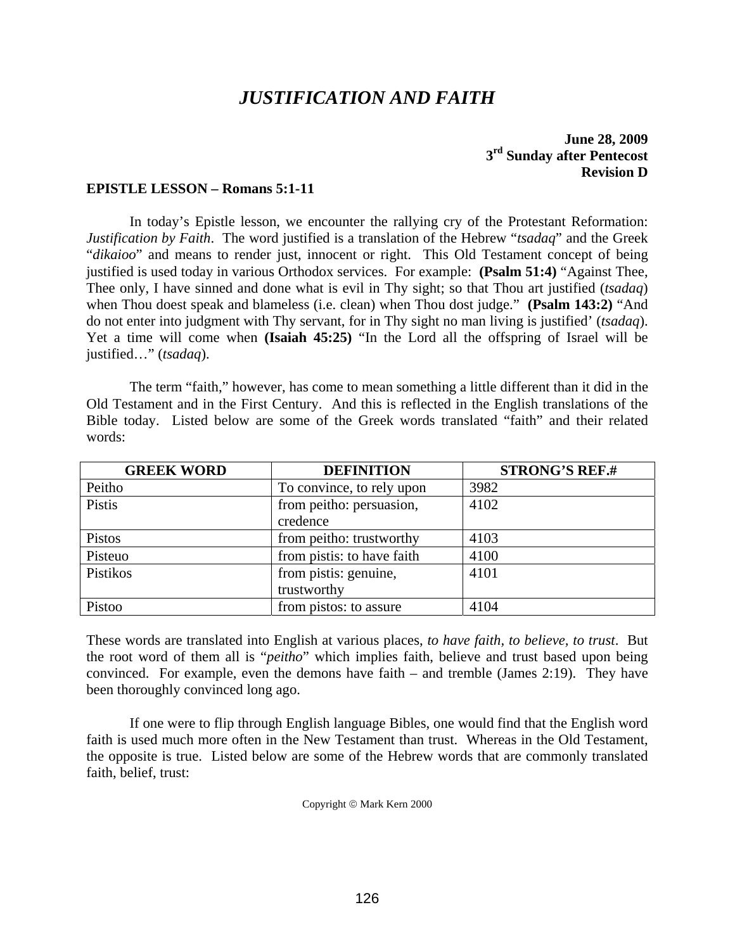# *JUSTIFICATION AND FAITH*

## **June 28, 2009 Sunday after Pentecost 3rd Revision D**

## **EPISTLE LESSON – Romans 5:1-11**

In today's Epistle lesson, we encounter the rallying cry of the Protestant Reformation: *bustification by Faith*. The word justified is a translation of the Hebrew "*tsadaq*" and the Greek "dikaioo" and means to render just, innocent or right. This Old Testament concept of being justified is used today in various Orthodox services. For example: (Psalm 51:4) "Against Thee, do not enter into judgment with Thy servant, for in Thy sight no man living is justified' (*tsadaq*). Yet a time will come when (Isaiah 45:25) "In the Lord all the offspring of Israel will be Thee only, I have sinned and done what is evil in Thy sight; so that Thou art justified (*tsadaq*) when Thou doest speak and blameless (i.e. clean) when Thou dost judge." **(Psalm 143:2)** "And justified…" (*tsadaq*).

Old Testament and in the First Century. And this is reflected in the English translations of the Bible today. Listed below are some of the Greek words translated "faith" and their related The term "faith," however, has come to mean something a little different than it did in the words:

| <b>GREEK WORD</b> | <b>DEFINITION</b>          | <b>STRONG'S REF.#</b> |
|-------------------|----------------------------|-----------------------|
| Peitho            | To convince, to rely upon  | 3982                  |
| Pistis            | from peitho: persuasion,   | 4102                  |
|                   | credence                   |                       |
| Pistos            | from peitho: trustworthy   | 4103                  |
| Pisteuo           | from pistis: to have faith | 4100                  |
| Pistikos          | from pistis: genuine,      | 4101                  |
|                   | trustworthy                |                       |
| Pistoo            | from pistos: to assure     | 4104                  |

These words are translated into English at various places, *to have faith, to believe, to trust*. But the root word of them all is "*peitho*" which implies faith, believe and trust based upon being convinced. For example, even the demons have faith – and tremble (James 2:19). They have been thoroughly convinced long ago.

 If one were to flip through English language Bibles, one would find that the English word faith is used much more often in the New Testament than trust. Whereas in the Old Testament, the opposite is true. Listed below are some of the Hebrew words that are commonly translated faith, belief, trust:

Copyright © Mark Kern 2000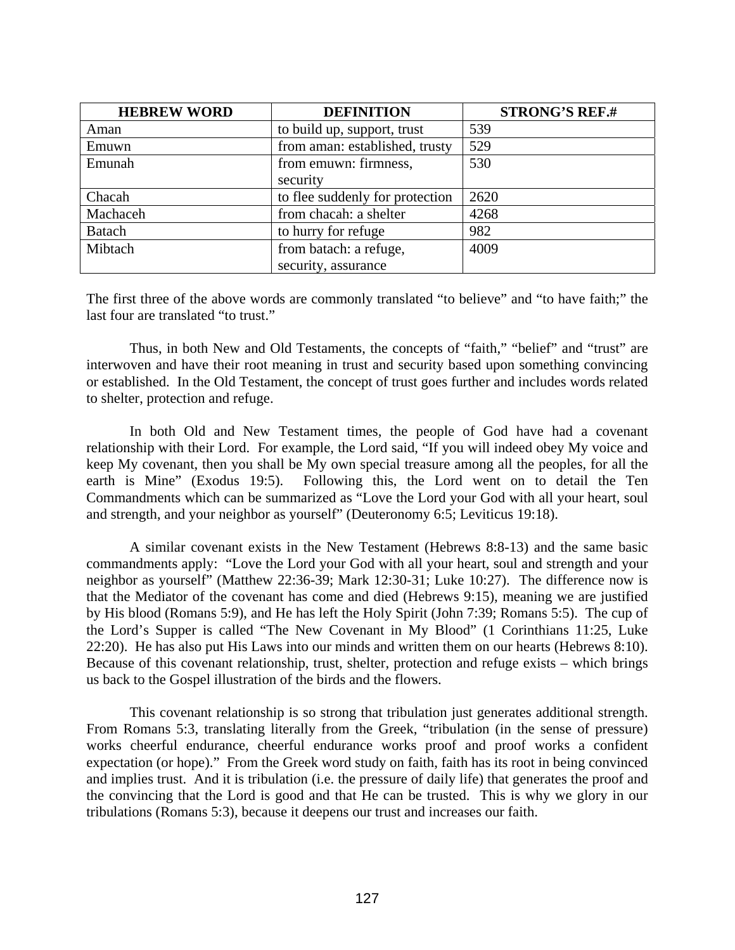| <b>HEBREW WORD</b> | <b>DEFINITION</b>               | <b>STRONG'S REF.#</b> |
|--------------------|---------------------------------|-----------------------|
| Aman               | to build up, support, trust     | 539                   |
| Emuwn              | from aman: established, trusty  | 529                   |
| Emunah             | from emuwn: firmness,           | 530                   |
|                    | security                        |                       |
| Chacah             | to flee suddenly for protection | 2620                  |
| Machaceh           | from chacah: a shelter          | 4268                  |
| <b>Batach</b>      | to hurry for refuge             | 982                   |
| Mibtach            | from batach: a refuge,          | 4009                  |
|                    | security, assurance             |                       |

The first three of the above words are commonly translated "to believe" and "to have faith;" the last four are translated "to trust."

 Thus, in both New and Old Testaments, the concepts of "faith," "belief" and "trust" are interwoven and have their root meaning in trust and security based upon something convincing or estab lished. In the Old Testament, the concept of trust goes further and includes words related to shelter, protection and refuge.

 In both Old and New Testament times, the people of God have had a covenant relationship with their Lord. For example, the Lord said, "If you will indeed obey My voice and keep My covenant, then you shall be My own special treasure among all the peoples, for all the earth is Mine" (Exodus 19:5). Following this, the Lord went on to detail the Ten Commandments which can be summarized as "Love the Lord your God with all your heart, soul and strength, and your neighbor as yourself" (Deuteronomy 6:5; Leviticus 19:18).

A similar covenant exists in the New Testament (Hebrews 8:8-13) and the same basic comma ndments apply: "Love the Lord your God with all your heart, soul and strength and your neighbor as yourself" (Matthew 22:36-39; Mark 12:30-31; Luke 10:27). The difference now is that the Mediator of the covenant has come and died (Hebrews 9:15), meaning we are justified by His blood (Romans 5:9), and He has left the Holy Spirit (John 7:39; Romans 5:5). The cup of the Lord's Supper is called "The New Covenant in My Blood" (1 Corinthians 11:25, Luke 22:20). He has also put His Laws into our minds and written them on our hearts (Hebrews 8:10). Because of this covenant relationship, trust, shelter, protection and refuge exists – which brings us back to the Gospel illustration of the birds and the flowers.

This covenant relationship is so strong that tribulation just generates additional strength. and implies trust. And it is tribulation (i.e. the pressure of daily life) that generates the proof and the convincing that the Lord is good and that He can be trusted. This is why we glory in our tribulations (Romans 5:3), because it deepens our trust and increases our faith. From Romans 5:3, translating literally from the Greek, "tribulation (in the sense of pressure) works cheerful endurance, cheerful endurance works proof and proof works a confident expectation (or hope)." From the Greek word study on faith, faith has its root in being convinced